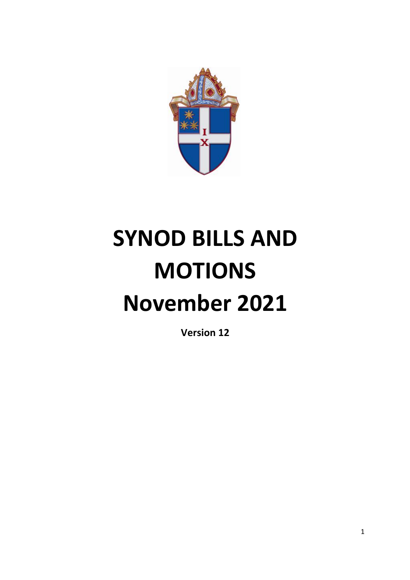

# **SYNOD BILLS AND MOTIONS November 2021**

**Version 12**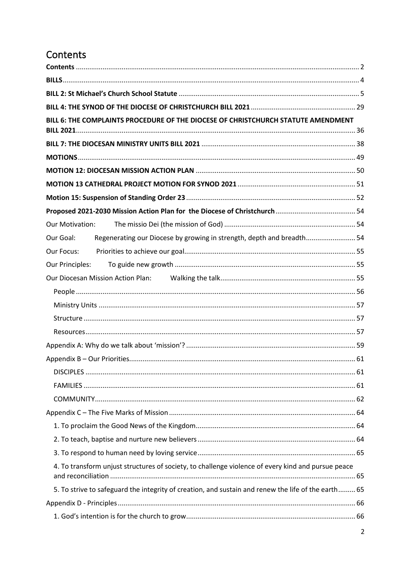# <span id="page-1-0"></span>Contents

| BILL 6: THE COMPLAINTS PROCEDURE OF THE DIOCESE OF CHRISTCHURCH STATUTE AMENDMENT                   |  |  |  |  |  |
|-----------------------------------------------------------------------------------------------------|--|--|--|--|--|
|                                                                                                     |  |  |  |  |  |
|                                                                                                     |  |  |  |  |  |
|                                                                                                     |  |  |  |  |  |
|                                                                                                     |  |  |  |  |  |
|                                                                                                     |  |  |  |  |  |
|                                                                                                     |  |  |  |  |  |
|                                                                                                     |  |  |  |  |  |
| <b>Our Motivation:</b>                                                                              |  |  |  |  |  |
| Regenerating our Diocese by growing in strength, depth and breadth 54<br>Our Goal:                  |  |  |  |  |  |
| Our Focus:                                                                                          |  |  |  |  |  |
|                                                                                                     |  |  |  |  |  |
|                                                                                                     |  |  |  |  |  |
|                                                                                                     |  |  |  |  |  |
|                                                                                                     |  |  |  |  |  |
|                                                                                                     |  |  |  |  |  |
|                                                                                                     |  |  |  |  |  |
|                                                                                                     |  |  |  |  |  |
|                                                                                                     |  |  |  |  |  |
|                                                                                                     |  |  |  |  |  |
|                                                                                                     |  |  |  |  |  |
|                                                                                                     |  |  |  |  |  |
|                                                                                                     |  |  |  |  |  |
|                                                                                                     |  |  |  |  |  |
|                                                                                                     |  |  |  |  |  |
|                                                                                                     |  |  |  |  |  |
| 4. To transform unjust structures of society, to challenge violence of every kind and pursue peace  |  |  |  |  |  |
| 5. To strive to safeguard the integrity of creation, and sustain and renew the life of the earth 65 |  |  |  |  |  |
|                                                                                                     |  |  |  |  |  |
|                                                                                                     |  |  |  |  |  |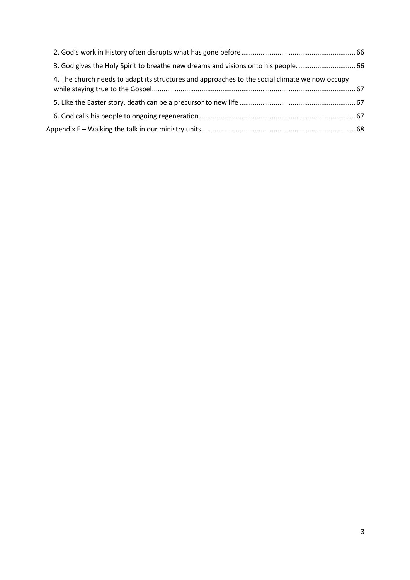| 3. God gives the Holy Spirit to breathe new dreams and visions onto his people 66              |  |
|------------------------------------------------------------------------------------------------|--|
| 4. The church needs to adapt its structures and approaches to the social climate we now occupy |  |
|                                                                                                |  |
|                                                                                                |  |
|                                                                                                |  |
|                                                                                                |  |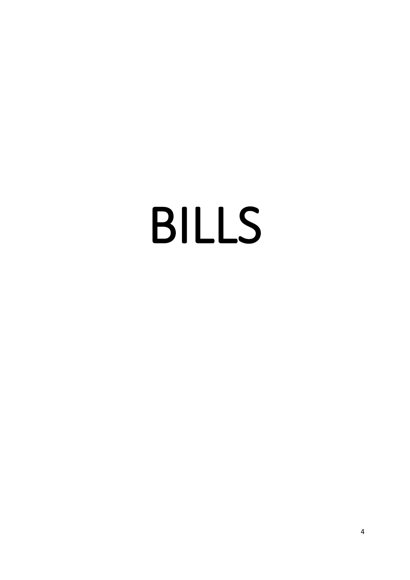# <span id="page-3-0"></span>BILLS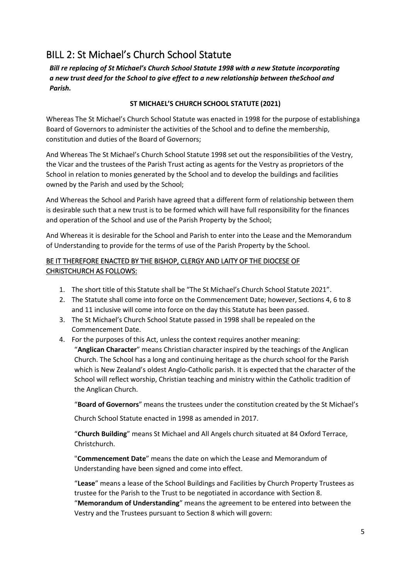# <span id="page-4-0"></span>BILL 2: St Michael's Church School Statute

*Bill re replacing of St Michael's Church School Statute 1998 with a new Statute incorporating a new trust deed for the School to give effect to a new relationship between theSchool and Parish.*

#### **ST MICHAEL'S CHURCH SCHOOL STATUTE (2021)**

Whereas The St Michael's Church School Statute was enacted in 1998 for the purpose of establishinga Board of Governors to administer the activities of the School and to define the membership, constitution and duties of the Board of Governors;

And Whereas The St Michael's Church School Statute 1998 set out the responsibilities of the Vestry, the Vicar and the trustees of the Parish Trust acting as agents for the Vestry as proprietors of the School in relation to monies generated by the School and to develop the buildings and facilities owned by the Parish and used by the School;

And Whereas the School and Parish have agreed that a different form of relationship between them is desirable such that a new trust is to be formed which will have full responsibility for the finances and operation of the School and use of the Parish Property by the School;

And Whereas it is desirable for the School and Parish to enter into the Lease and the Memorandum of Understanding to provide for the terms of use of the Parish Property by the School.

#### BE IT THEREFORE ENACTED BY THE BISHOP, CLERGY AND LAITY OF THE DIOCESE OF CHRISTCHURCH AS FOLLOWS:

- 1. The short title of this Statute shall be "The St Michael's Church School Statute 2021".
- 2. The Statute shall come into force on the Commencement Date; however, Sections 4, 6 to 8 and 11 inclusive will come into force on the day this Statute has been passed.
- 3. The St Michael's Church School Statute passed in 1998 shall be repealed on the Commencement Date.
- 4. For the purposes of this Act, unless the context requires another meaning: "**Anglican Character**" means Christian character inspired by the teachings of the Anglican Church. The School has a long and continuing heritage as the church school for the Parish which is New Zealand's oldest Anglo-Catholic parish. It is expected that the character of the School will reflect worship, Christian teaching and ministry within the Catholic tradition of the Anglican Church.

"**Board of Governors**" means the trustees under the constitution created by the St Michael's

Church School Statute enacted in 1998 as amended in 2017.

"**Church Building**" means St Michael and All Angels church situated at 84 Oxford Terrace, Christchurch.

"**Commencement Date**" means the date on which the Lease and Memorandum of Understanding have been signed and come into effect.

"**Lease**" means a lease of the School Buildings and Facilities by Church Property Trustees as trustee for the Parish to the Trust to be negotiated in accordance with Section 8. "**Memorandum of Understanding**" means the agreement to be entered into between the Vestry and the Trustees pursuant to Section 8 which will govern: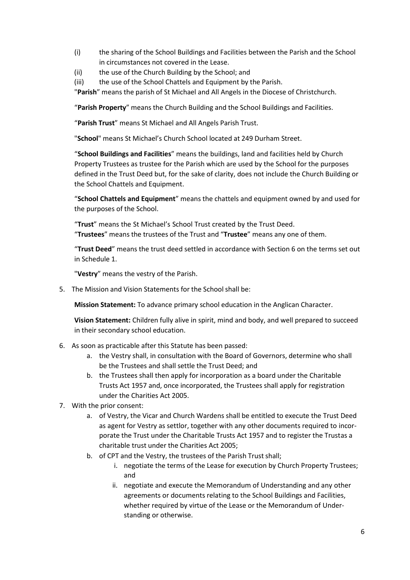- (i) the sharing of the School Buildings and Facilities between the Parish and the School in circumstances not covered in the Lease.
- (ii) the use of the Church Building by the School; and
- (iii) the use of the School Chattels and Equipment by the Parish.

"**Parish**" means the parish of St Michael and All Angels in the Diocese of Christchurch.

"**Parish Property**" means the Church Building and the School Buildings and Facilities.

"**Parish Trust**" means St Michael and All Angels Parish Trust.

"**School**" means St Michael's Church School located at 249 Durham Street.

"**School Buildings and Facilities**" means the buildings, land and facilities held by Church Property Trustees as trustee for the Parish which are used by the School for the purposes defined in the Trust Deed but, for the sake of clarity, does not include the Church Building or the School Chattels and Equipment.

"**School Chattels and Equipment**" means the chattels and equipment owned by and used for the purposes of the School.

"**Trust**" means the St Michael's School Trust created by the Trust Deed. "**Trustees**" means the trustees of the Trust and "**Trustee**" means any one of them.

"**Trust Deed**" means the trust deed settled in accordance with Section 6 on the terms set out in Schedule 1.

"**Vestry**" means the vestry of the Parish.

5. The Mission and Vision Statements for the Schoolshall be:

**Mission Statement:** To advance primary school education in the Anglican Character.

**Vision Statement:** Children fully alive in spirit, mind and body, and well prepared to succeed in their secondary school education.

- 6. As soon as practicable after this Statute has been passed:
	- a. the Vestry shall, in consultation with the Board of Governors, determine who shall be the Trustees and shall settle the Trust Deed; and
	- b. the Trustees shall then apply for incorporation as a board under the Charitable Trusts Act 1957 and, once incorporated, the Trustees shall apply for registration under the Charities Act 2005.
- 7. With the prior consent:
	- a. of Vestry, the Vicar and Church Wardens shall be entitled to execute the Trust Deed as agent for Vestry as settlor, together with any other documents required to incorporate the Trust under the Charitable Trusts Act 1957 and to register the Trustas a charitable trust under the Charities Act 2005;
	- b. of CPT and the Vestry, the trustees of the Parish Trust shall;
		- i. negotiate the terms of the Lease for execution by Church Property Trustees; and
		- ii. negotiate and execute the Memorandum of Understanding and any other agreements or documents relating to the School Buildings and Facilities, whether required by virtue of the Lease or the Memorandum of Understanding or otherwise.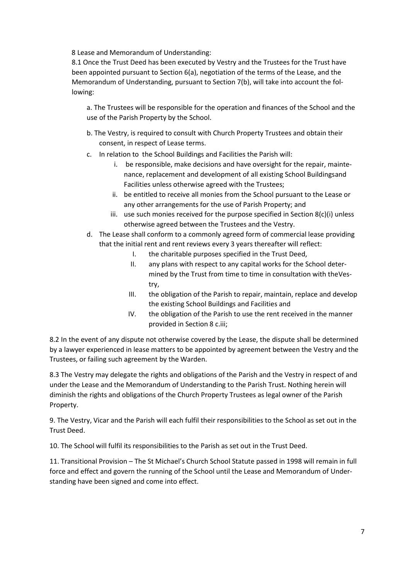8 Lease and Memorandum of Understanding:

8.1 Once the Trust Deed has been executed by Vestry and the Trustees for the Trust have been appointed pursuant to Section 6(a), negotiation of the terms of the Lease, and the Memorandum of Understanding, pursuant to Section 7(b), will take into account the following:

a. The Trustees will be responsible for the operation and finances of the School and the use of the Parish Property by the School.

- b. The Vestry, is required to consult with Church Property Trustees and obtain their consent, in respect of Lease terms.
- c. In relation to the School Buildings and Facilities the Parish will:
	- i. be responsible, make decisions and have oversight for the repair, maintenance, replacement and development of all existing School Buildingsand Facilities unless otherwise agreed with the Trustees;
	- ii. be entitled to receive all monies from the School pursuant to the Lease or any other arrangements for the use of Parish Property; and
	- iii. use such monies received for the purpose specified in Section 8(c)(i) unless otherwise agreed between the Trustees and the Vestry.
- d. The Lease shall conform to a commonly agreed form of commercial lease providing that the initial rent and rent reviews every 3 years thereafter will reflect:
	- I. the charitable purposes specified in the Trust Deed,
	- II. any plans with respect to any capital works for the School determined by the Trust from time to time in consultation with theVestry,
	- III. the obligation of the Parish to repair, maintain, replace and develop the existing School Buildings and Facilities and
	- IV. the obligation of the Parish to use the rent received in the manner provided in Section 8 c.iii;

8.2 In the event of any dispute not otherwise covered by the Lease, the dispute shall be determined by a lawyer experienced in lease matters to be appointed by agreement between the Vestry and the Trustees, or failing such agreement by the Warden.

8.3 The Vestry may delegate the rights and obligations of the Parish and the Vestry in respect of and under the Lease and the Memorandum of Understanding to the Parish Trust. Nothing herein will diminish the rights and obligations of the Church Property Trustees as legal owner of the Parish Property.

9. The Vestry, Vicar and the Parish will each fulfil their responsibilities to the School as set out in the Trust Deed.

10. The School will fulfil its responsibilities to the Parish as set out in the Trust Deed.

11. Transitional Provision – The St Michael's Church School Statute passed in 1998 will remain in full force and effect and govern the running of the School until the Lease and Memorandum of Understanding have been signed and come into effect.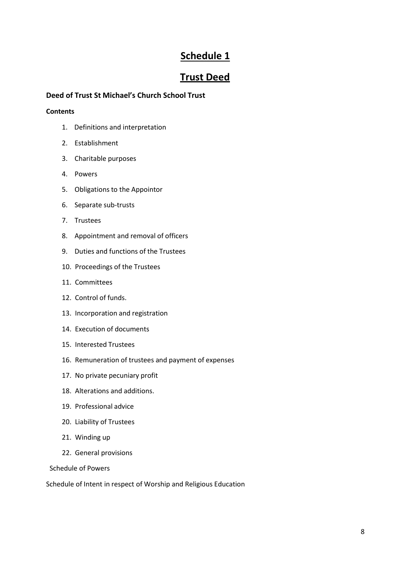# **Schedule 1**

## **Trust Deed**

#### **Deed of Trust St Michael's Church School Trust**

#### **Contents**

- 1. Definitions and interpretation
- 2. Establishment
- 3. Charitable purposes
- 4. Powers
- 5. Obligations to the Appointor
- 6. Separate sub-trusts
- 7. Trustees
- 8. Appointment and removal of officers
- 9. Duties and functions of the Trustees
- 10. Proceedings of the Trustees
- 11. Committees
- 12. Control of funds.
- 13. Incorporation and registration
- 14. Execution of documents
- 15. Interested Trustees
- 16. Remuneration of trustees and payment of expenses
- 17. No private pecuniary profit
- 18. Alterations and additions.
- 19. Professional advice
- 20. Liability of Trustees
- 21. Winding up
- 22. General provisions

Schedule of Powers

Schedule of Intent in respect of Worship and Religious Education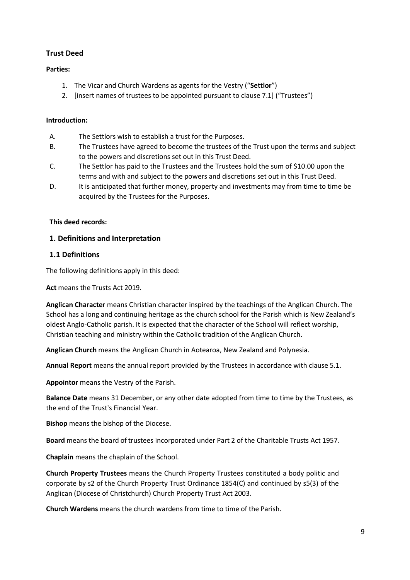#### **Trust Deed**

#### **Parties:**

- 1. The Vicar and Church Wardens as agents for the Vestry ("**Settlor**")
- 2. [insert names of trustees to be appointed pursuant to clause 7.1] ("Trustees")

#### **Introduction:**

- A. The Settlors wish to establish a trust for the Purposes.
- B. The Trustees have agreed to become the trustees of the Trust upon the terms and subject to the powers and discretions set out in this Trust Deed.
- C. The Settlor has paid to the Trustees and the Trustees hold the sum of \$10.00 upon the terms and with and subject to the powers and discretions set out in this Trust Deed.
- D. It is anticipated that further money, property and investments may from time to time be acquired by the Trustees for the Purposes.

#### **This deed records:**

#### **1. Definitions and Interpretation**

#### **1.1 Definitions**

The following definitions apply in this deed:

**Act** means the Trusts Act 2019.

**Anglican Character** means Christian character inspired by the teachings of the Anglican Church. The School has a long and continuing heritage as the church school for the Parish which is New Zealand's oldest Anglo-Catholic parish. It is expected that the character of the School will reflect worship, Christian teaching and ministry within the Catholic tradition of the Anglican Church.

**Anglican Church** means the Anglican Church in Aotearoa, New Zealand and Polynesia.

**Annual Report** means the annual report provided by the Trustees in accordance with clause 5.1.

**Appointor** means the Vestry of the Parish.

**Balance Date** means 31 December, or any other date adopted from time to time by the Trustees, as the end of the Trust's Financial Year.

**Bishop** means the bishop of the Diocese.

**Board** means the board of trustees incorporated under Part 2 of the Charitable Trusts Act 1957.

**Chaplain** means the chaplain of the School.

**Church Property Trustees** means the Church Property Trustees constituted a body politic and corporate by s2 of the Church Property Trust Ordinance 1854(C) and continued by s5(3) of the Anglican (Diocese of Christchurch) Church Property Trust Act 2003.

**Church Wardens** means the church wardens from time to time of the Parish.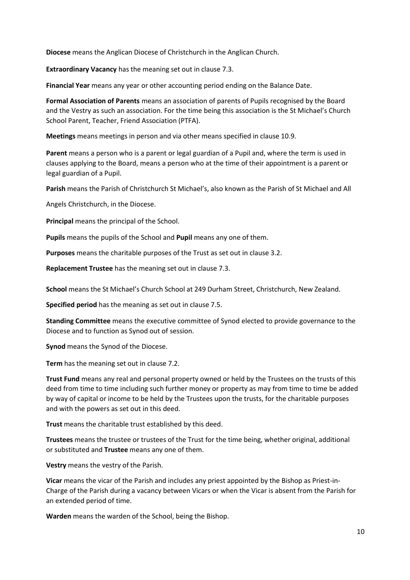**Diocese** means the Anglican Diocese of Christchurch in the Anglican Church.

**Extraordinary Vacancy** has the meaning set out in clause 7.3.

**Financial Year** means any year or other accounting period ending on the Balance Date.

**Formal Association of Parents** means an association of parents of Pupils recognised by the Board and the Vestry as such an association. For the time being this association is the St Michael's Church School Parent, Teacher, Friend Association (PTFA).

**Meetings** means meetings in person and via other means specified in clause 10.9.

**Parent** means a person who is a parent or legal guardian of a Pupil and, where the term is used in clauses applying to the Board, means a person who at the time of their appointment is a parent or legal guardian of a Pupil.

**Parish** means the Parish of Christchurch St Michael's, also known as the Parish of St Michael and All

Angels Christchurch, in the Diocese.

**Principal** means the principal of the School.

**Pupils** means the pupils of the School and **Pupil** means any one of them.

**Purposes** means the charitable purposes of the Trust as set out in clause 3.2.

**Replacement Trustee** has the meaning set out in clause 7.3.

**School** means the St Michael's Church School at 249 Durham Street, Christchurch, New Zealand.

**Specified period** has the meaning as set out in clause 7.5.

**Standing Committee** means the executive committee of Synod elected to provide governance to the Diocese and to function as Synod out of session.

**Synod** means the Synod of the Diocese.

**Term** has the meaning set out in clause 7.2.

**Trust Fund** means any real and personal property owned or held by the Trustees on the trusts of this deed from time to time including such further money or property as may from time to time be added by way of capital or income to be held by the Trustees upon the trusts, for the charitable purposes and with the powers as set out in this deed.

**Trust** means the charitable trust established by this deed.

**Trustees** means the trustee or trustees of the Trust for the time being, whether original, additional or substituted and **Trustee** means any one of them.

**Vestry** means the vestry of the Parish.

**Vicar** means the vicar of the Parish and includes any priest appointed by the Bishop as Priest-in-Charge of the Parish during a vacancy between Vicars or when the Vicar is absent from the Parish for an extended period of time.

**Warden** means the warden of the School, being the Bishop.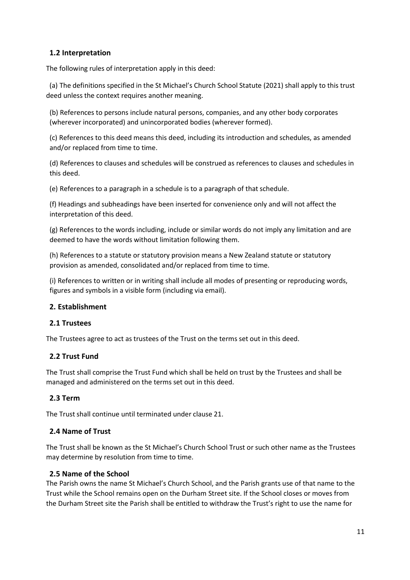#### **1.2 Interpretation**

The following rules of interpretation apply in this deed:

(a) The definitions specified in the St Michael's Church School Statute (2021) shall apply to this trust deed unless the context requires another meaning.

(b) References to persons include natural persons, companies, and any other body corporates (wherever incorporated) and unincorporated bodies (wherever formed).

(c) References to this deed means this deed, including its introduction and schedules, as amended and/or replaced from time to time.

(d) References to clauses and schedules will be construed as references to clauses and schedules in this deed.

(e) References to a paragraph in a schedule is to a paragraph of that schedule.

(f) Headings and subheadings have been inserted for convenience only and will not affect the interpretation of this deed.

(g) References to the words including, include or similar words do not imply any limitation and are deemed to have the words without limitation following them.

(h) References to a statute or statutory provision means a New Zealand statute or statutory provision as amended, consolidated and/or replaced from time to time.

(i) References to written or in writing shall include all modes of presenting or reproducing words, figures and symbols in a visible form (including via email).

#### **2. Establishment**

#### **2.1 Trustees**

The Trustees agree to act as trustees of the Trust on the terms set out in this deed.

#### **2.2 Trust Fund**

The Trust shall comprise the Trust Fund which shall be held on trust by the Trustees and shall be managed and administered on the terms set out in this deed.

#### **2.3 Term**

The Trust shall continue until terminated under clause 21.

#### **2.4 Name of Trust**

The Trust shall be known as the St Michael's Church School Trust or such other name as the Trustees may determine by resolution from time to time.

#### **2.5 Name of the School**

The Parish owns the name St Michael's Church School, and the Parish grants use of that name to the Trust while the School remains open on the Durham Street site. If the School closes or moves from the Durham Street site the Parish shall be entitled to withdraw the Trust's right to use the name for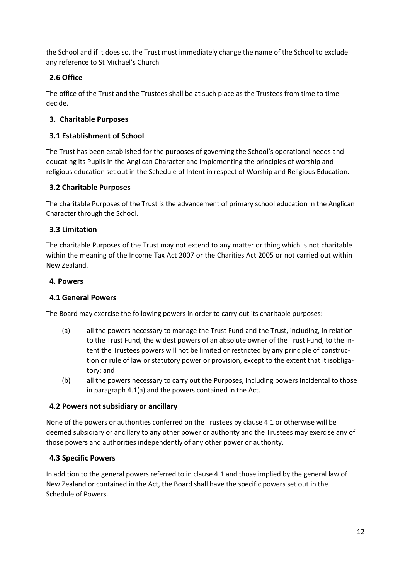the School and if it does so, the Trust must immediately change the name of the School to exclude any reference to St Michael's Church

#### **2.6 Office**

The office of the Trust and the Trustees shall be at such place as the Trustees from time to time decide.

#### **3. Charitable Purposes**

#### **3.1 Establishment of School**

The Trust has been established for the purposes of governing the School's operational needs and educating its Pupils in the Anglican Character and implementing the principles of worship and religious education set out in the Schedule of Intent in respect of Worship and Religious Education.

#### **3.2 Charitable Purposes**

The charitable Purposes of the Trust is the advancement of primary school education in the Anglican Character through the School.

#### **3.3 Limitation**

The charitable Purposes of the Trust may not extend to any matter or thing which is not charitable within the meaning of the Income Tax Act 2007 or the Charities Act 2005 or not carried out within New Zealand.

#### **4. Powers**

#### **4.1 General Powers**

The Board may exercise the following powers in order to carry out its charitable purposes:

- (a) all the powers necessary to manage the Trust Fund and the Trust, including, in relation to the Trust Fund, the widest powers of an absolute owner of the Trust Fund, to the intent the Trustees powers will not be limited or restricted by any principle of construction or rule of law or statutory power or provision, except to the extent that it isobligatory; and
- (b) all the powers necessary to carry out the Purposes, including powers incidental to those in paragraph 4.1(a) and the powers contained in the Act.

#### **4.2 Powers not subsidiary or ancillary**

None of the powers or authorities conferred on the Trustees by clause 4.1 or otherwise will be deemed subsidiary or ancillary to any other power or authority and the Trustees may exercise any of those powers and authorities independently of any other power or authority.

#### **4.3 Specific Powers**

In addition to the general powers referred to in clause 4.1 and those implied by the general law of New Zealand or contained in the Act, the Board shall have the specific powers set out in the Schedule of Powers.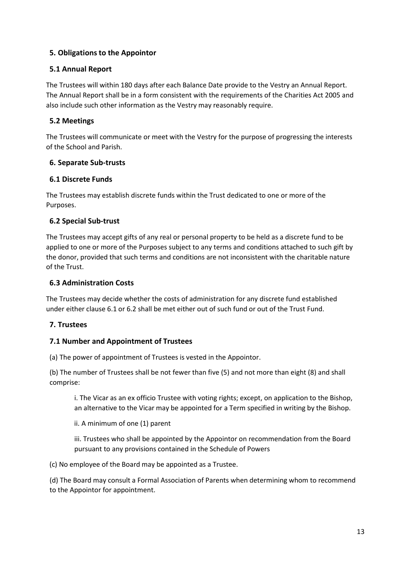#### **5. Obligations to the Appointor**

#### **5.1 Annual Report**

The Trustees will within 180 days after each Balance Date provide to the Vestry an Annual Report. The Annual Report shall be in a form consistent with the requirements of the Charities Act 2005 and also include such other information as the Vestry may reasonably require.

#### **5.2 Meetings**

The Trustees will communicate or meet with the Vestry for the purpose of progressing the interests of the School and Parish.

#### **6. Separate Sub-trusts**

#### **6.1 Discrete Funds**

The Trustees may establish discrete funds within the Trust dedicated to one or more of the Purposes.

#### **6.2 Special Sub-trust**

The Trustees may accept gifts of any real or personal property to be held as a discrete fund to be applied to one or more of the Purposes subject to any terms and conditions attached to such gift by the donor, provided that such terms and conditions are not inconsistent with the charitable nature of the Trust.

#### **6.3 Administration Costs**

The Trustees may decide whether the costs of administration for any discrete fund established under either clause 6.1 or 6.2 shall be met either out of such fund or out of the Trust Fund.

#### **7. Trustees**

#### **7.1 Number and Appointment of Trustees**

(a) The power of appointment of Trustees is vested in the Appointor.

(b) The number of Trustees shall be not fewer than five (5) and not more than eight (8) and shall comprise:

i. The Vicar as an ex officio Trustee with voting rights; except, on application to the Bishop, an alternative to the Vicar may be appointed for a Term specified in writing by the Bishop.

ii. A minimum of one (1) parent

iii. Trustees who shall be appointed by the Appointor on recommendation from the Board pursuant to any provisions contained in the Schedule of Powers

(c) No employee of the Board may be appointed as a Trustee.

(d) The Board may consult a Formal Association of Parents when determining whom to recommend to the Appointor for appointment.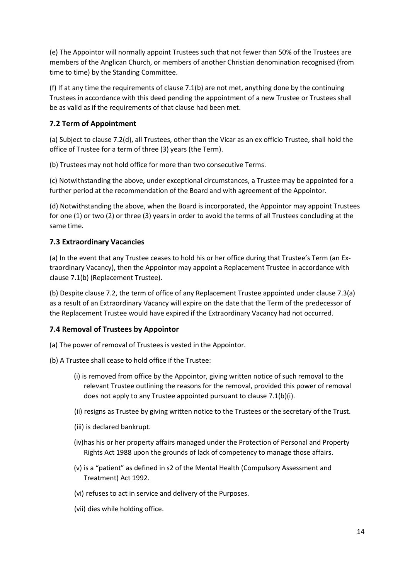(e) The Appointor will normally appoint Trustees such that not fewer than 50% of the Trustees are members of the Anglican Church, or members of another Christian denomination recognised (from time to time) by the Standing Committee.

(f) If at any time the requirements of clause 7.1(b) are not met, anything done by the continuing Trustees in accordance with this deed pending the appointment of a new Trustee or Trustees shall be as valid as if the requirements of that clause had been met.

#### **7.2 Term of Appointment**

(a) Subject to clause 7.2(d), all Trustees, other than the Vicar as an ex officio Trustee, shall hold the office of Trustee for a term of three (3) years (the Term).

(b) Trustees may not hold office for more than two consecutive Terms.

(c) Notwithstanding the above, under exceptional circumstances, a Trustee may be appointed for a further period at the recommendation of the Board and with agreement of the Appointor.

(d) Notwithstanding the above, when the Board is incorporated, the Appointor may appoint Trustees for one (1) or two (2) or three (3) years in order to avoid the terms of all Trustees concluding at the same time.

#### **7.3 Extraordinary Vacancies**

(a) In the event that any Trustee ceases to hold his or her office during that Trustee's Term (an Extraordinary Vacancy), then the Appointor may appoint a Replacement Trustee in accordance with clause 7.1(b) (Replacement Trustee).

(b) Despite clause 7.2, the term of office of any Replacement Trustee appointed under clause 7.3(a) as a result of an Extraordinary Vacancy will expire on the date that the Term of the predecessor of the Replacement Trustee would have expired if the Extraordinary Vacancy had not occurred.

#### **7.4 Removal of Trustees by Appointor**

(a) The power of removal of Trustees is vested in the Appointor.

- (b) A Trustee shall cease to hold office if the Trustee:
	- (i) is removed from office by the Appointor, giving written notice of such removal to the relevant Trustee outlining the reasons for the removal, provided this power of removal does not apply to any Trustee appointed pursuant to clause 7.1(b)(i).
	- (ii) resigns as Trustee by giving written notice to the Trustees or the secretary of the Trust.
	- (iii) is declared bankrupt.
	- (iv)has his or her property affairs managed under the Protection of Personal and Property Rights Act 1988 upon the grounds of lack of competency to manage those affairs.
	- (v) is a "patient" as defined in s2 of the Mental Health (Compulsory Assessment and Treatment) Act 1992.
	- (vi) refuses to act in service and delivery of the Purposes.
	- (vii) dies while holding office.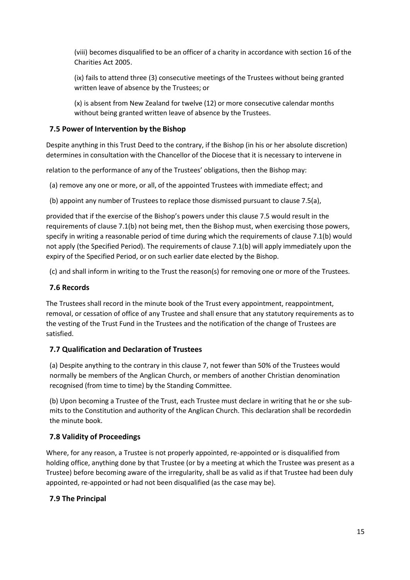(viii) becomes disqualified to be an officer of a charity in accordance with section 16 of the Charities Act 2005.

(ix) fails to attend three (3) consecutive meetings of the Trustees without being granted written leave of absence by the Trustees; or

(x) is absent from New Zealand for twelve (12) or more consecutive calendar months without being granted written leave of absence by the Trustees.

#### **7.5 Power of Intervention by the Bishop**

Despite anything in this Trust Deed to the contrary, if the Bishop (in his or her absolute discretion) determines in consultation with the Chancellor of the Diocese that it is necessary to intervene in

relation to the performance of any of the Trustees' obligations, then the Bishop may:

(a) remove any one or more, or all, of the appointed Trustees with immediate effect; and

(b) appoint any number of Trustees to replace those dismissed pursuant to clause 7.5(a),

provided that if the exercise of the Bishop's powers under this clause 7.5 would result in the requirements of clause 7.1(b) not being met, then the Bishop must, when exercising those powers, specify in writing a reasonable period of time during which the requirements of clause 7.1(b) would not apply (the Specified Period). The requirements of clause 7.1(b) will apply immediately upon the expiry of the Specified Period, or on such earlier date elected by the Bishop.

(c) and shall inform in writing to the Trust the reason(s) for removing one or more of the Trustees.

#### **7.6 Records**

The Trustees shall record in the minute book of the Trust every appointment, reappointment, removal, or cessation of office of any Trustee and shall ensure that any statutory requirements as to the vesting of the Trust Fund in the Trustees and the notification of the change of Trustees are satisfied.

#### **7.7 Qualification and Declaration of Trustees**

(a) Despite anything to the contrary in this clause 7, not fewer than 50% of the Trustees would normally be members of the Anglican Church, or members of another Christian denomination recognised (from time to time) by the Standing Committee.

(b) Upon becoming a Trustee of the Trust, each Trustee must declare in writing that he or she submits to the Constitution and authority of the Anglican Church. This declaration shall be recordedin the minute book.

#### **7.8 Validity of Proceedings**

Where, for any reason, a Trustee is not properly appointed, re-appointed or is disqualified from holding office, anything done by that Trustee (or by a meeting at which the Trustee was present as a Trustee) before becoming aware of the irregularity, shall be as valid as if that Trustee had been duly appointed, re-appointed or had not been disqualified (as the case may be).

#### **7.9 The Principal**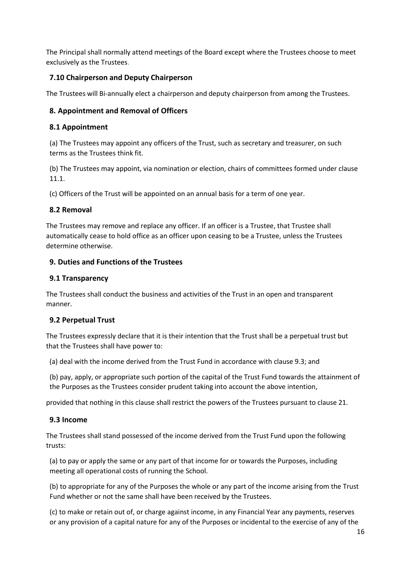The Principal shall normally attend meetings of the Board except where the Trustees choose to meet exclusively as the Trustees.

#### **7.10 Chairperson and Deputy Chairperson**

The Trustees will Bi-annually elect a chairperson and deputy chairperson from among the Trustees.

#### **8. Appointment and Removal of Officers**

#### **8.1 Appointment**

(a) The Trustees may appoint any officers of the Trust, such as secretary and treasurer, on such terms as the Trustees think fit.

(b) The Trustees may appoint, via nomination or election, chairs of committees formed under clause 11.1.

(c) Officers of the Trust will be appointed on an annual basis for a term of one year.

#### **8.2 Removal**

The Trustees may remove and replace any officer. If an officer is a Trustee, that Trustee shall automatically cease to hold office as an officer upon ceasing to be a Trustee, unless the Trustees determine otherwise.

#### **9. Duties and Functions of the Trustees**

#### **9.1 Transparency**

The Trustees shall conduct the business and activities of the Trust in an open and transparent manner.

#### **9.2 Perpetual Trust**

The Trustees expressly declare that it is their intention that the Trust shall be a perpetual trust but that the Trustees shall have power to:

(a) deal with the income derived from the Trust Fund in accordance with clause 9.3; and

(b) pay, apply, or appropriate such portion of the capital of the Trust Fund towards the attainment of the Purposes as the Trustees consider prudent taking into account the above intention,

provided that nothing in this clause shall restrict the powers of the Trustees pursuant to clause 21.

#### **9.3 Income**

The Trustees shall stand possessed of the income derived from the Trust Fund upon the following trusts:

(a) to pay or apply the same or any part of that income for or towards the Purposes, including meeting all operational costs of running the School.

(b) to appropriate for any of the Purposes the whole or any part of the income arising from the Trust Fund whether or not the same shall have been received by the Trustees.

(c) to make or retain out of, or charge against income, in any Financial Year any payments, reserves or any provision of a capital nature for any of the Purposes or incidental to the exercise of any of the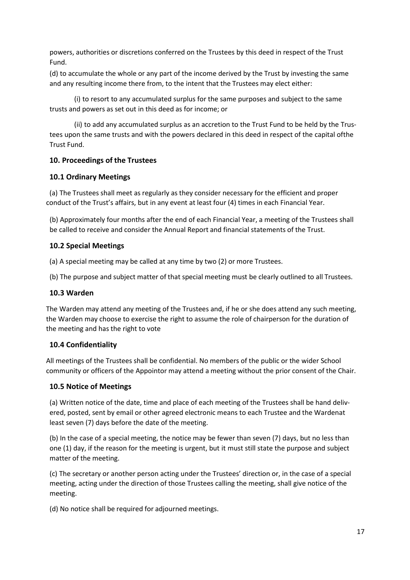powers, authorities or discretions conferred on the Trustees by this deed in respect of the Trust Fund.

(d) to accumulate the whole or any part of the income derived by the Trust by investing the same and any resulting income there from, to the intent that the Trustees may elect either:

(i) to resort to any accumulated surplus for the same purposes and subject to the same trusts and powers as set out in this deed as for income; or

(ii) to add any accumulated surplus as an accretion to the Trust Fund to be held by the Trustees upon the same trusts and with the powers declared in this deed in respect of the capital ofthe Trust Fund.

#### **10. Proceedings of the Trustees**

#### **10.1 Ordinary Meetings**

(a) The Trustees shall meet as regularly as they consider necessary for the efficient and proper conduct of the Trust's affairs, but in any event at least four (4) times in each Financial Year.

(b) Approximately four months after the end of each Financial Year, a meeting of the Trustees shall be called to receive and consider the Annual Report and financial statements of the Trust.

#### **10.2 Special Meetings**

(a) A special meeting may be called at any time by two (2) or more Trustees.

(b) The purpose and subject matter of that special meeting must be clearly outlined to all Trustees.

#### **10.3 Warden**

The Warden may attend any meeting of the Trustees and, if he or she does attend any such meeting, the Warden may choose to exercise the right to assume the role of chairperson for the duration of the meeting and has the right to vote

#### **10.4 Confidentiality**

All meetings of the Trustees shall be confidential. No members of the public or the wider School community or officers of the Appointor may attend a meeting without the prior consent of the Chair.

#### **10.5 Notice of Meetings**

(a) Written notice of the date, time and place of each meeting of the Trustees shall be hand delivered, posted, sent by email or other agreed electronic means to each Trustee and the Wardenat least seven (7) days before the date of the meeting.

(b) In the case of a special meeting, the notice may be fewer than seven (7) days, but no less than one (1) day, if the reason for the meeting is urgent, but it must still state the purpose and subject matter of the meeting.

(c) The secretary or another person acting under the Trustees' direction or, in the case of a special meeting, acting under the direction of those Trustees calling the meeting, shall give notice of the meeting.

(d) No notice shall be required for adjourned meetings.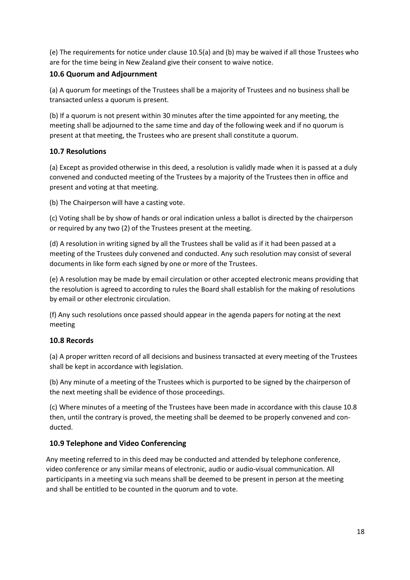(e) The requirements for notice under clause 10.5(a) and (b) may be waived if all those Trustees who are for the time being in New Zealand give their consent to waive notice.

#### **10.6 Quorum and Adjournment**

(a) A quorum for meetings of the Trustees shall be a majority of Trustees and no business shall be transacted unless a quorum is present.

(b) If a quorum is not present within 30 minutes after the time appointed for any meeting, the meeting shall be adjourned to the same time and day of the following week and if no quorum is present at that meeting, the Trustees who are present shall constitute a quorum.

#### **10.7 Resolutions**

(a) Except as provided otherwise in this deed, a resolution is validly made when it is passed at a duly convened and conducted meeting of the Trustees by a majority of the Trustees then in office and present and voting at that meeting.

(b) The Chairperson will have a casting vote.

(c) Voting shall be by show of hands or oral indication unless a ballot is directed by the chairperson or required by any two (2) of the Trustees present at the meeting.

(d) A resolution in writing signed by all the Trustees shall be valid as if it had been passed at a meeting of the Trustees duly convened and conducted. Any such resolution may consist of several documents in like form each signed by one or more of the Trustees.

(e) A resolution may be made by email circulation or other accepted electronic means providing that the resolution is agreed to according to rules the Board shall establish for the making of resolutions by email or other electronic circulation.

(f) Any such resolutions once passed should appear in the agenda papers for noting at the next meeting

#### **10.8 Records**

(a) A proper written record of all decisions and business transacted at every meeting of the Trustees shall be kept in accordance with legislation.

(b) Any minute of a meeting of the Trustees which is purported to be signed by the chairperson of the next meeting shall be evidence of those proceedings.

(c) Where minutes of a meeting of the Trustees have been made in accordance with this clause 10.8 then, until the contrary is proved, the meeting shall be deemed to be properly convened and conducted.

#### **10.9 Telephone and Video Conferencing**

Any meeting referred to in this deed may be conducted and attended by telephone conference, video conference or any similar means of electronic, audio or audio-visual communication. All participants in a meeting via such means shall be deemed to be present in person at the meeting and shall be entitled to be counted in the quorum and to vote.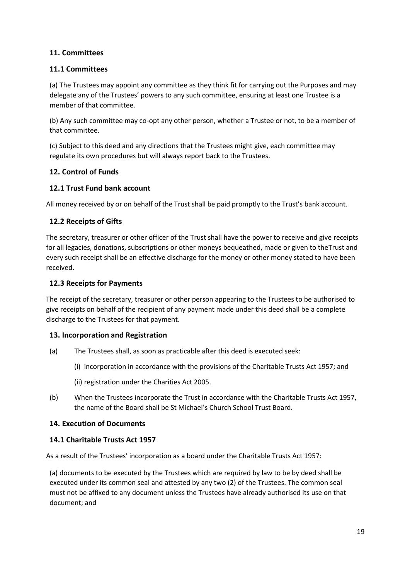#### **11. Committees**

#### **11.1 Committees**

(a) The Trustees may appoint any committee as they think fit for carrying out the Purposes and may delegate any of the Trustees' powers to any such committee, ensuring at least one Trustee is a member of that committee.

(b) Any such committee may co-opt any other person, whether a Trustee or not, to be a member of that committee.

(c) Subject to this deed and any directions that the Trustees might give, each committee may regulate its own procedures but will always report back to the Trustees.

#### **12. Control of Funds**

#### **12.1 Trust Fund bank account**

All money received by or on behalf of the Trust shall be paid promptly to the Trust's bank account.

#### **12.2 Receipts of Gifts**

The secretary, treasurer or other officer of the Trust shall have the power to receive and give receipts for all legacies, donations, subscriptions or other moneys bequeathed, made or given to theTrust and every such receipt shall be an effective discharge for the money or other money stated to have been received.

#### **12.3 Receipts for Payments**

The receipt of the secretary, treasurer or other person appearing to the Trustees to be authorised to give receipts on behalf of the recipient of any payment made under this deed shall be a complete discharge to the Trustees for that payment.

#### **13. Incorporation and Registration**

- (a) The Trustees shall, as soon as practicable after this deed is executed seek:
	- (i) incorporation in accordance with the provisions of the Charitable Trusts Act 1957; and
	- (ii) registration under the Charities Act 2005.
- (b) When the Trustees incorporate the Trust in accordance with the Charitable Trusts Act 1957, the name of the Board shall be St Michael's Church School Trust Board.

#### **14. Execution of Documents**

#### **14.1 Charitable Trusts Act 1957**

As a result of the Trustees' incorporation as a board under the Charitable Trusts Act 1957:

(a) documents to be executed by the Trustees which are required by law to be by deed shall be executed under its common seal and attested by any two (2) of the Trustees. The common seal must not be affixed to any document unless the Trustees have already authorised its use on that document; and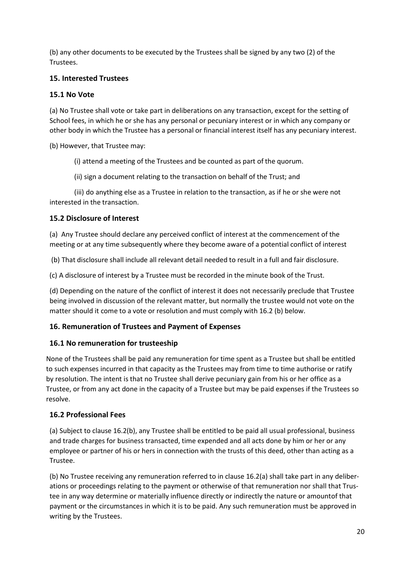(b) any other documents to be executed by the Trustees shall be signed by any two (2) of the Trustees.

#### **15. Interested Trustees**

#### **15.1 No Vote**

(a) No Trustee shall vote or take part in deliberations on any transaction, except for the setting of School fees, in which he or she has any personal or pecuniary interest or in which any company or other body in which the Trustee has a personal or financial interest itself has any pecuniary interest.

(b) However, that Trustee may:

(i) attend a meeting of the Trustees and be counted as part of the quorum.

(ii) sign a document relating to the transaction on behalf of the Trust; and

(iii) do anything else as a Trustee in relation to the transaction, as if he or she were not interested in the transaction.

#### **15.2 Disclosure of Interest**

(a) Any Trustee should declare any perceived conflict of interest at the commencement of the meeting or at any time subsequently where they become aware of a potential conflict of interest

(b) That disclosure shall include all relevant detail needed to result in a full and fair disclosure.

(c) A disclosure of interest by a Trustee must be recorded in the minute book of the Trust.

(d) Depending on the nature of the conflict of interest it does not necessarily preclude that Trustee being involved in discussion of the relevant matter, but normally the trustee would not vote on the matter should it come to a vote or resolution and must comply with 16.2 (b) below.

#### **16. Remuneration of Trustees and Payment of Expenses**

#### **16.1 No remuneration for trusteeship**

None of the Trustees shall be paid any remuneration for time spent as a Trustee but shall be entitled to such expenses incurred in that capacity as the Trustees may from time to time authorise or ratify by resolution. The intent is that no Trustee shall derive pecuniary gain from his or her office as a Trustee, or from any act done in the capacity of a Trustee but may be paid expenses if the Trustees so resolve.

#### **16.2 Professional Fees**

(a) Subject to clause 16.2(b), any Trustee shall be entitled to be paid all usual professional, business and trade charges for business transacted, time expended and all acts done by him or her or any employee or partner of his or hers in connection with the trusts of this deed, other than acting as a Trustee.

(b) No Trustee receiving any remuneration referred to in clause 16.2(a) shall take part in any deliberations or proceedings relating to the payment or otherwise of that remuneration nor shall that Trustee in any way determine or materially influence directly or indirectly the nature or amountof that payment or the circumstances in which it is to be paid. Any such remuneration must be approved in writing by the Trustees.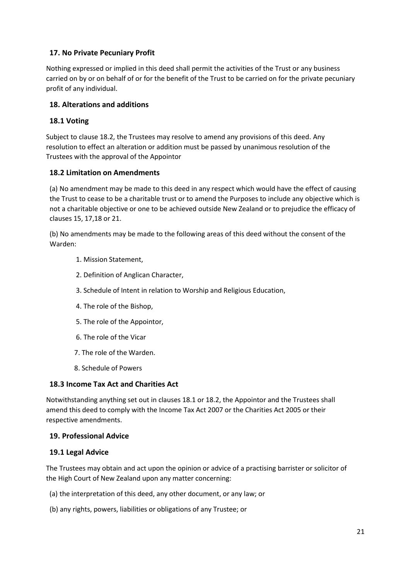#### **17. No Private Pecuniary Profit**

Nothing expressed or implied in this deed shall permit the activities of the Trust or any business carried on by or on behalf of or for the benefit of the Trust to be carried on for the private pecuniary profit of any individual.

#### **18. Alterations and additions**

#### **18.1 Voting**

Subject to clause 18.2, the Trustees may resolve to amend any provisions of this deed. Any resolution to effect an alteration or addition must be passed by unanimous resolution of the Trustees with the approval of the Appointor

#### **18.2 Limitation on Amendments**

(a) No amendment may be made to this deed in any respect which would have the effect of causing the Trust to cease to be a charitable trust or to amend the Purposes to include any objective which is not a charitable objective or one to be achieved outside New Zealand or to prejudice the efficacy of clauses 15, 17,18 or 21.

(b) No amendments may be made to the following areas of this deed without the consent of the Warden:

- 1. Mission Statement,
- 2. Definition of Anglican Character,
- 3. Schedule of Intent in relation to Worship and Religious Education,
- 4. The role of the Bishop,
- 5. The role of the Appointor,
- 6. The role of the Vicar
- 7. The role of the Warden.
- 8. Schedule of Powers

#### **18.3 Income Tax Act and Charities Act**

Notwithstanding anything set out in clauses 18.1 or 18.2, the Appointor and the Trustees shall amend this deed to comply with the Income Tax Act 2007 or the Charities Act 2005 or their respective amendments.

#### **19. Professional Advice**

#### **19.1 Legal Advice**

The Trustees may obtain and act upon the opinion or advice of a practising barrister or solicitor of the High Court of New Zealand upon any matter concerning:

- (a) the interpretation of this deed, any other document, or any law; or
- (b) any rights, powers, liabilities or obligations of any Trustee; or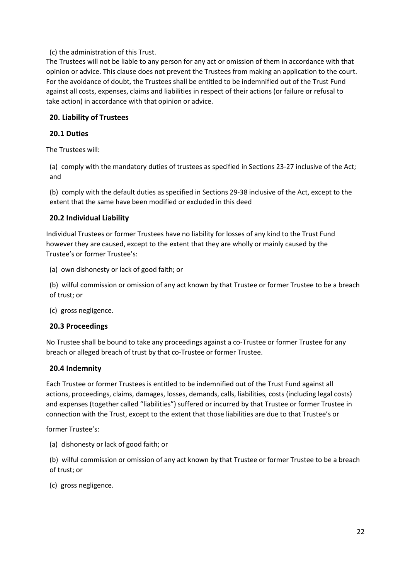(c) the administration of this Trust.

The Trustees will not be liable to any person for any act or omission of them in accordance with that opinion or advice. This clause does not prevent the Trustees from making an application to the court. For the avoidance of doubt, the Trustees shall be entitled to be indemnified out of the Trust Fund against all costs, expenses, claims and liabilities in respect of their actions (or failure or refusal to take action) in accordance with that opinion or advice.

#### **20. Liability of Trustees**

#### **20.1 Duties**

The Trustees will:

(a) comply with the mandatory duties of trustees as specified in Sections 23-27 inclusive of the Act; and

(b) comply with the default duties as specified in Sections 29-38 inclusive of the Act, except to the extent that the same have been modified or excluded in this deed

#### **20.2 Individual Liability**

Individual Trustees or former Trustees have no liability for losses of any kind to the Trust Fund however they are caused, except to the extent that they are wholly or mainly caused by the Trustee's or former Trustee's:

(a) own dishonesty or lack of good faith; or

(b) wilful commission or omission of any act known by that Trustee or former Trustee to be a breach of trust; or

(c) gross negligence.

#### **20.3 Proceedings**

No Trustee shall be bound to take any proceedings against a co-Trustee or former Trustee for any breach or alleged breach of trust by that co-Trustee or former Trustee.

#### **20.4 Indemnity**

Each Trustee or former Trustees is entitled to be indemnified out of the Trust Fund against all actions, proceedings, claims, damages, losses, demands, calls, liabilities, costs (including legal costs) and expenses (together called "liabilities") suffered or incurred by that Trustee or former Trustee in connection with the Trust, except to the extent that those liabilities are due to that Trustee's or

former Trustee's:

(a) dishonesty or lack of good faith; or

(b) wilful commission or omission of any act known by that Trustee or former Trustee to be a breach of trust; or

(c) gross negligence.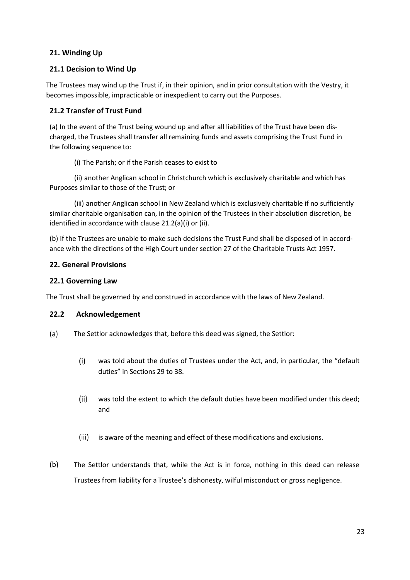#### **21. Winding Up**

#### **21.1 Decision to Wind Up**

The Trustees may wind up the Trust if, in their opinion, and in prior consultation with the Vestry, it becomes impossible, impracticable or inexpedient to carry out the Purposes.

#### **21.2 Transfer of Trust Fund**

(a) In the event of the Trust being wound up and after all liabilities of the Trust have been discharged, the Trustees shall transfer all remaining funds and assets comprising the Trust Fund in the following sequence to:

(i) The Parish; or if the Parish ceases to exist to

(ii) another Anglican school in Christchurch which is exclusively charitable and which has Purposes similar to those of the Trust; or

(iii) another Anglican school in New Zealand which is exclusively charitable if no sufficiently similar charitable organisation can, in the opinion of the Trustees in their absolution discretion, be identified in accordance with clause 21.2(a)(i) or (ii).

(b) If the Trustees are unable to make such decisions the Trust Fund shall be disposed of in accordance with the directions of the High Court under section 27 of the Charitable Trusts Act 1957.

#### **22. General Provisions**

#### **22.1 Governing Law**

The Trust shall be governed by and construed in accordance with the laws of New Zealand.

#### **22.2 Acknowledgement**

- The Settlor acknowledges that, before this deed was signed, the Settlor:
	- was told about the duties of Trustees under the Act, and, in particular, the "default duties" in Sections 29 to 38.
	- was told the extent to which the default duties have been modified under this deed; and
	- (iii) is aware of the meaning and effect of these modifications and exclusions.
- The Settlor understands that, while the Act is in force, nothing in this deed can release Trustees from liability for a Trustee's dishonesty, wilful misconduct or gross negligence.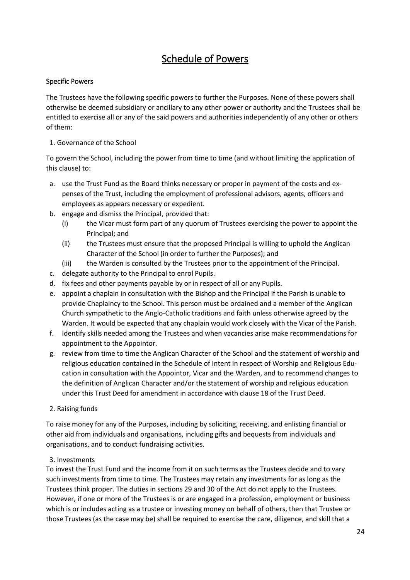# Schedule of Powers

#### Specific Powers

The Trustees have the following specific powers to further the Purposes. None of these powers shall otherwise be deemed subsidiary or ancillary to any other power or authority and the Trustees shall be entitled to exercise all or any of the said powers and authorities independently of any other or others of them:

#### 1. Governance of the School

To govern the School, including the power from time to time (and without limiting the application of this clause) to:

- a. use the Trust Fund as the Board thinks necessary or proper in payment of the costs and expenses of the Trust, including the employment of professional advisors, agents, officers and employees as appears necessary or expedient.
- b. engage and dismiss the Principal, provided that:
	- (i) the Vicar must form part of any quorum of Trustees exercising the power to appoint the Principal; and
	- (ii) the Trustees must ensure that the proposed Principal is willing to uphold the Anglican Character of the School (in order to further the Purposes); and
	- (iii) the Warden is consulted by the Trustees prior to the appointment of the Principal.
- c. delegate authority to the Principal to enrol Pupils.
- d. fix fees and other payments payable by or in respect of all or any Pupils.
- e. appoint a chaplain in consultation with the Bishop and the Principal if the Parish is unable to provide Chaplaincy to the School. This person must be ordained and a member of the Anglican Church sympathetic to the Anglo-Catholic traditions and faith unless otherwise agreed by the Warden. It would be expected that any chaplain would work closely with the Vicar of the Parish.
- f. Identify skills needed among the Trustees and when vacancies arise make recommendations for appointment to the Appointor.
- g. review from time to time the Anglican Character of the School and the statement of worship and religious education contained in the Schedule of Intent in respect of Worship and Religious Education in consultation with the Appointor, Vicar and the Warden, and to recommend changes to the definition of Anglican Character and/or the statement of worship and religious education under this Trust Deed for amendment in accordance with clause 18 of the Trust Deed.
- 2. Raising funds

To raise money for any of the Purposes, including by soliciting, receiving, and enlisting financial or other aid from individuals and organisations, including gifts and bequests from individuals and organisations, and to conduct fundraising activities.

#### 3. Investments

To invest the Trust Fund and the income from it on such terms as the Trustees decide and to vary such investments from time to time. The Trustees may retain any investments for as long as the Trustees think proper. The duties in sections 29 and 30 of the Act do not apply to the Trustees. However, if one or more of the Trustees is or are engaged in a profession, employment or business which is or includes acting as a trustee or investing money on behalf of others, then that Trustee or those Trustees (as the case may be) shall be required to exercise the care, diligence, and skill that a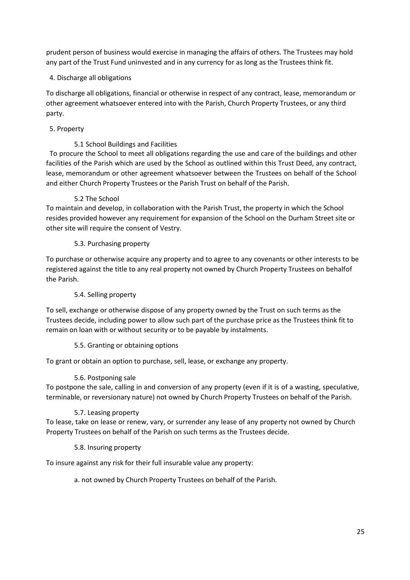prudent person of business would exercise in managing the affairs of others. The Trustees may hold any part of the Trust Fund uninvested and in any currency for as long as the Trustees think fit.

#### 4. Discharge all obligations

To discharge all obligations, financial or otherwise in respect of any contract, lease, memorandum or other agreement whatsoever entered into with the Parish, Church Property Trustees, or any third party.

#### 5. Property

#### 5.1 School Buildings and Facilities

To procure the School to meet all obligations regarding the use and care of the buildings and other facilities of the Parish which are used by the School as outlined within this Trust Deed, any contract, lease, memorandum or other agreement whatsoever between the Trustees on behalf of the School and either Church Property Trustees or the Parish Trust on behalf of the Parish.

#### 5.2 The School

To maintain and develop, in collaboration with the Parish Trust, the property in which the School resides provided however any requirement for expansion of the School on the Durham Street site or other site will require the consent of Vestry.

#### 5.3. Purchasing property

To purchase or otherwise acquire any property and to agree to any covenants or other interests to be registered against the title to any real property not owned by Church Property Trustees on behalfof the Parish.

#### 5.4. Selling property

To sell, exchange or otherwise dispose of any property owned by the Trust on such terms as the Trustees decide, including power to allow such part of the purchase price as the Trustees think fit to remain on loan with or without security or to be payable by instalments.

#### 5.5. Granting or obtaining options

To grant or obtain an option to purchase, sell, lease, or exchange any property.

#### 5.6. Postponing sale

To postpone the sale, calling in and conversion of any property (even if it is of a wasting, speculative, terminable, or reversionary nature) not owned by Church Property Trustees on behalf of the Parish.

#### 5.7. Leasing property

To lease, take on lease or renew, vary, or surrender any lease of any property not owned by Church Property Trustees on behalf of the Parish on such terms as the Trustees decide.

#### 5.8. Insuring property

To insure against any risk for their full insurable value any property:

a. not owned by Church Property Trustees on behalf of the Parish.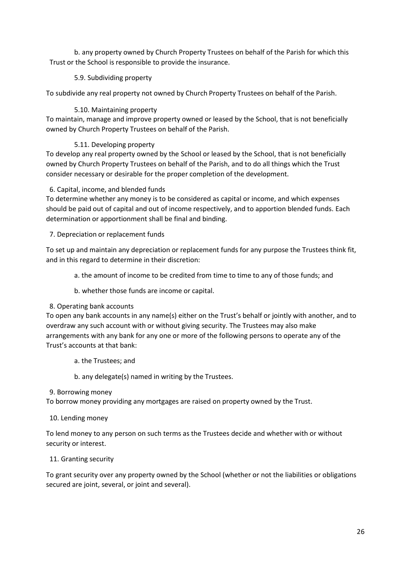b. any property owned by Church Property Trustees on behalf of the Parish for which this Trust or the School is responsible to provide the insurance.

#### 5.9. Subdividing property

To subdivide any real property not owned by Church Property Trustees on behalf of the Parish.

#### 5.10. Maintaining property

To maintain, manage and improve property owned or leased by the School, that is not beneficially owned by Church Property Trustees on behalf of the Parish.

#### 5.11. Developing property

To develop any real property owned by the School or leased by the School, that is not beneficially owned by Church Property Trustees on behalf of the Parish, and to do all things which the Trust consider necessary or desirable for the proper completion of the development.

#### 6. Capital, income, and blended funds

To determine whether any money is to be considered as capital or income, and which expenses should be paid out of capital and out of income respectively, and to apportion blended funds. Each determination or apportionment shall be final and binding.

7. Depreciation or replacement funds

To set up and maintain any depreciation or replacement funds for any purpose the Trustees think fit, and in this regard to determine in their discretion:

a. the amount of income to be credited from time to time to any of those funds; and

b. whether those funds are income or capital.

#### 8. Operating bank accounts

To open any bank accounts in any name(s) either on the Trust's behalf or jointly with another, and to overdraw any such account with or without giving security. The Trustees may also make arrangements with any bank for any one or more of the following persons to operate any of the Trust's accounts at that bank:

a. the Trustees; and

b. any delegate(s) named in writing by the Trustees.

9. Borrowing money

To borrow money providing any mortgages are raised on property owned by the Trust.

10. Lending money

To lend money to any person on such terms as the Trustees decide and whether with or without security or interest.

#### 11. Granting security

To grant security over any property owned by the School (whether or not the liabilities or obligations secured are joint, several, or joint and several).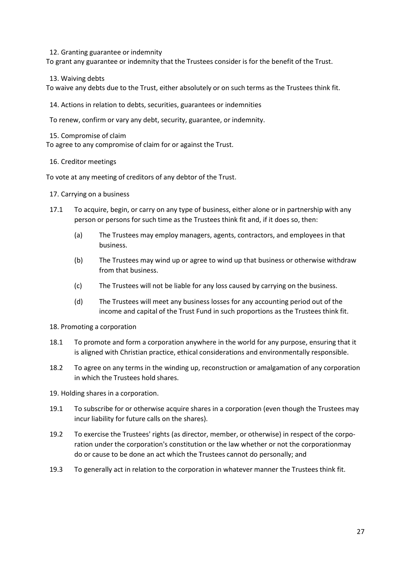12. Granting guarantee or indemnity

To grant any guarantee or indemnity that the Trustees consider is for the benefit of the Trust.

13. Waiving debts

To waive any debts due to the Trust, either absolutely or on such terms as the Trustees think fit.

14. Actions in relation to debts, securities, guarantees or indemnities

To renew, confirm or vary any debt, security, guarantee, or indemnity.

15. Compromise of claim

To agree to any compromise of claim for or against the Trust.

#### 16. Creditor meetings

To vote at any meeting of creditors of any debtor of the Trust.

#### 17. Carrying on a business

- 17.1 To acquire, begin, or carry on any type of business, either alone or in partnership with any person or persons for such time as the Trustees think fit and, if it does so, then:
	- (a) The Trustees may employ managers, agents, contractors, and employees in that business.
	- (b) The Trustees may wind up or agree to wind up that business or otherwise withdraw from that business.
	- (c) The Trustees will not be liable for any loss caused by carrying on the business.
	- (d) The Trustees will meet any business losses for any accounting period out of the income and capital of the Trust Fund in such proportions as the Trustees think fit.

#### 18. Promoting a corporation

- 18.1 To promote and form a corporation anywhere in the world for any purpose, ensuring that it is aligned with Christian practice, ethical considerations and environmentally responsible.
- 18.2 To agree on any terms in the winding up, reconstruction or amalgamation of any corporation in which the Trustees hold shares.
- 19. Holding shares in a corporation.
- 19.1 To subscribe for or otherwise acquire shares in a corporation (even though the Trustees may incur liability for future calls on the shares).
- 19.2 To exercise the Trustees' rights (as director, member, or otherwise) in respect of the corporation under the corporation's constitution or the law whether or not the corporationmay do or cause to be done an act which the Trustees cannot do personally; and
- 19.3 To generally act in relation to the corporation in whatever manner the Trustees think fit.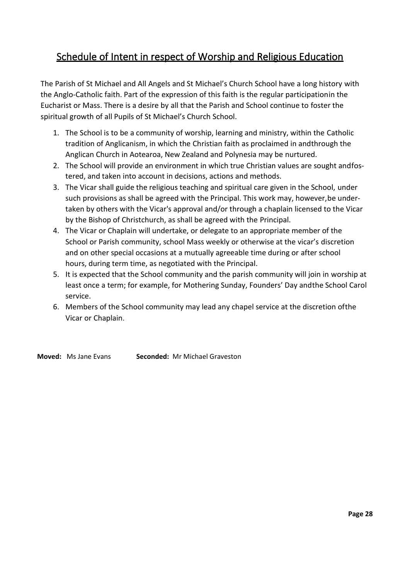# Schedule of Intent in respect of Worship and Religious Education

The Parish of St Michael and All Angels and St Michael's Church School have a long history with the Anglo-Catholic faith. Part of the expression of this faith is the regular participationin the Eucharist or Mass. There is a desire by all that the Parish and School continue to foster the spiritual growth of all Pupils of St Michael's Church School.

- 1. The School is to be a community of worship, learning and ministry, within the Catholic tradition of Anglicanism, in which the Christian faith as proclaimed in andthrough the Anglican Church in Aotearoa, New Zealand and Polynesia may be nurtured.
- 2. The School will provide an environment in which true Christian values are sought andfostered, and taken into account in decisions, actions and methods.
- 3. The Vicar shall guide the religious teaching and spiritual care given in the School, under such provisions as shall be agreed with the Principal. This work may, however,be undertaken by others with the Vicar's approval and/or through a chaplain licensed to the Vicar by the Bishop of Christchurch, as shall be agreed with the Principal.
- 4. The Vicar or Chaplain will undertake, or delegate to an appropriate member of the School or Parish community, school Mass weekly or otherwise at the vicar's discretion and on other special occasions at a mutually agreeable time during or after school hours, during term time, as negotiated with the Principal.
- 5. It is expected that the School community and the parish community will join in worship at least once a term; for example, for Mothering Sunday, Founders' Day andthe School Carol service.
- 6. Members of the School community may lead any chapel service at the discretion ofthe Vicar or Chaplain.

**Moved:** Ms Jane Evans **Seconded:** Mr Michael Graveston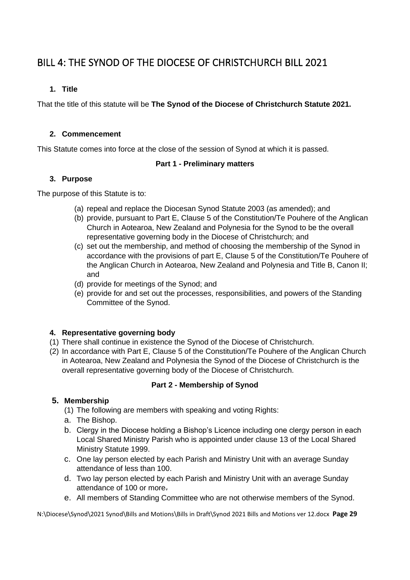# <span id="page-28-0"></span>BILL 4: THE SYNOD OF THE DIOCESE OF CHRISTCHURCH BILL 2021

#### **1. Title**

That the title of this statute will be **The Synod of the Diocese of Christchurch Statute 2021.**

#### **2. Commencement**

This Statute comes into force at the close of the session of Synod at which it is passed.

#### **Part 1 - Preliminary matters**

#### **3. Purpose**

The purpose of this Statute is to:

- (a) repeal and replace the Diocesan Synod Statute 2003 (as amended); and
- (b) provide, pursuant to Part E, Clause 5 of the Constitution/Te Pouhere of the Anglican Church in Aotearoa, New Zealand and Polynesia for the Synod to be the overall representative governing body in the Diocese of Christchurch; and
- (c) set out the membership, and method of choosing the membership of the Synod in accordance with the provisions of part E, Clause 5 of the Constitution/Te Pouhere of the Anglican Church in Aotearoa, New Zealand and Polynesia and Title B, Canon II; and
- (d) provide for meetings of the Synod; and
- (e) provide for and set out the processes, responsibilities, and powers of the Standing Committee of the Synod.

#### **4. Representative governing body**

- (1) There shall continue in existence the Synod of the Diocese of Christchurch.
- (2) In accordance with Part E, Clause 5 of the Constitution/Te Pouhere of the Anglican Church in Aotearoa, New Zealand and Polynesia the Synod of the Diocese of Christchurch is the overall representative governing body of the Diocese of Christchurch.

#### **Part 2 - Membership of Synod**

#### **5. Membership**

- (1) The following are members with speaking and voting Rights:
- a. The Bishop.
- b. Clergy in the Diocese holding a Bishop's Licence including one clergy person in each Local Shared Ministry Parish who is appointed under clause 13 of the Local Shared Ministry Statute 1999.
- c. One lay person elected by each Parish and Ministry Unit with an average Sunday attendance of less than 100.
- d. Two lay person elected by each Parish and Ministry Unit with an average Sunday attendance of 100 or more.
- e. All members of Standing Committee who are not otherwise members of the Synod.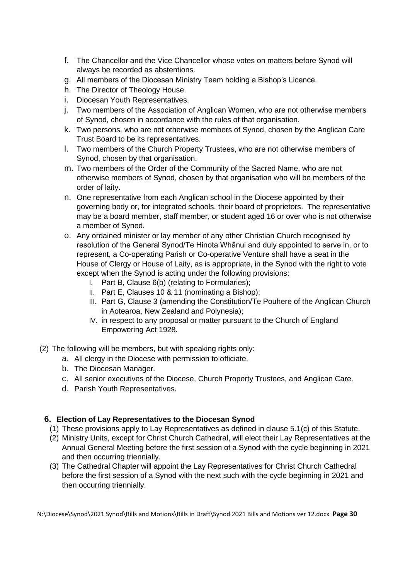- f. The Chancellor and the Vice Chancellor whose votes on matters before Synod will always be recorded as abstentions.
- g. All members of the Diocesan Ministry Team holding a Bishop's Licence.
- h. The Director of Theology House.
- i. Diocesan Youth Representatives.
- j. Two members of the Association of Anglican Women, who are not otherwise members of Synod, chosen in accordance with the rules of that organisation.
- k. Two persons, who are not otherwise members of Synod, chosen by the Anglican Care Trust Board to be its representatives.
- l. Two members of the Church Property Trustees, who are not otherwise members of Synod, chosen by that organisation.
- m. Two members of the Order of the Community of the Sacred Name, who are not otherwise members of Synod, chosen by that organisation who will be members of the order of laity.
- n. One representative from each Anglican school in the Diocese appointed by their governing body or, for integrated schools, their board of proprietors. The representative may be a board member, staff member, or student aged 16 or over who is not otherwise a member of Synod.
- o. Any ordained minister or lay member of any other Christian Church recognised by resolution of the General Synod/Te Hinota Whānui and duly appointed to serve in, or to represent, a Co-operating Parish or Co-operative Venture shall have a seat in the House of Clergy or House of Laity, as is appropriate, in the Synod with the right to vote except when the Synod is acting under the following provisions:
	- I. Part B, Clause 6(b) (relating to Formularies);
	- II. Part E, Clauses 10 & 11 (nominating a Bishop);
	- III. Part G, Clause 3 (amending the Constitution/Te Pouhere of the Anglican Church in Aotearoa, New Zealand and Polynesia);
	- IV. in respect to any proposal or matter pursuant to the Church of England Empowering Act 1928.
- (2) The following will be members, but with speaking rights only:
	- a. All clergy in the Diocese with permission to officiate.
	- b. The Diocesan Manager.
	- c. All senior executives of the Diocese, Church Property Trustees, and Anglican Care.
	- d. Parish Youth Representatives.

#### **6. Election of Lay Representatives to the Diocesan Synod**

- (1) These provisions apply to Lay Representatives as defined in clause 5.1(c) of this Statute.
- (2) Ministry Units, except for Christ Church Cathedral, will elect their Lay Representatives at the Annual General Meeting before the first session of a Synod with the cycle beginning in 2021 and then occurring triennially.
- (3) The Cathedral Chapter will appoint the Lay Representatives for Christ Church Cathedral before the first session of a Synod with the next such with the cycle beginning in 2021 and then occurring triennially.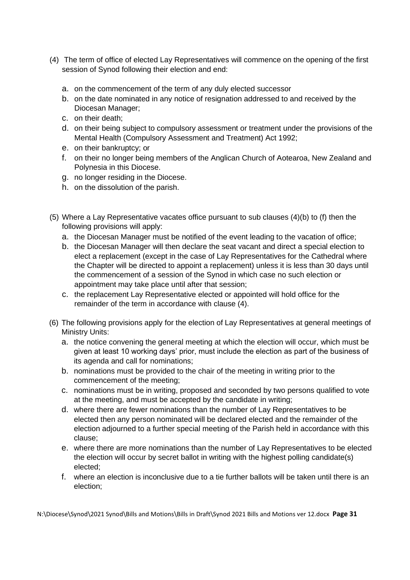- (4) The term of office of elected Lay Representatives will commence on the opening of the first session of Synod following their election and end:
	- a. on the commencement of the term of any duly elected successor
	- b. on the date nominated in any notice of resignation addressed to and received by the Diocesan Manager;
	- c. on their death;
	- d. on their being subject to compulsory assessment or treatment under the provisions of the Mental Health (Compulsory Assessment and Treatment) Act 1992;
	- e. on their bankruptcy; or
	- f. on their no longer being members of the Anglican Church of Aotearoa, New Zealand and Polynesia in this Diocese.
	- g. no longer residing in the Diocese.
	- h. on the dissolution of the parish.
- (5) Where a Lay Representative vacates office pursuant to sub clauses (4)(b) to (f) then the following provisions will apply:
	- a. the Diocesan Manager must be notified of the event leading to the vacation of office;
	- b. the Diocesan Manager will then declare the seat vacant and direct a special election to elect a replacement (except in the case of Lay Representatives for the Cathedral where the Chapter will be directed to appoint a replacement) unless it is less than 30 days until the commencement of a session of the Synod in which case no such election or appointment may take place until after that session;
	- c. the replacement Lay Representative elected or appointed will hold office for the remainder of the term in accordance with clause (4).
- (6) The following provisions apply for the election of Lay Representatives at general meetings of Ministry Units:
	- a. the notice convening the general meeting at which the election will occur, which must be given at least 10 working days' prior, must include the election as part of the business of its agenda and call for nominations;
	- b. nominations must be provided to the chair of the meeting in writing prior to the commencement of the meeting;
	- c. nominations must be in writing, proposed and seconded by two persons qualified to vote at the meeting, and must be accepted by the candidate in writing;
	- d. where there are fewer nominations than the number of Lay Representatives to be elected then any person nominated will be declared elected and the remainder of the election adjourned to a further special meeting of the Parish held in accordance with this clause;
	- e. where there are more nominations than the number of Lay Representatives to be elected the election will occur by secret ballot in writing with the highest polling candidate(s) elected;
	- f. where an election is inconclusive due to a tie further ballots will be taken until there is an election;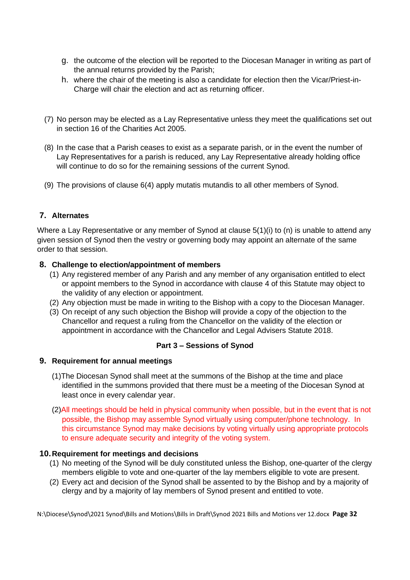- g. the outcome of the election will be reported to the Diocesan Manager in writing as part of the annual returns provided by the Parish;
- h. where the chair of the meeting is also a candidate for election then the Vicar/Priest-in-Charge will chair the election and act as returning officer.
- (7) No person may be elected as a Lay Representative unless they meet the qualifications set out in section 16 of the Charities Act 2005.
- (8) In the case that a Parish ceases to exist as a separate parish, or in the event the number of Lay Representatives for a parish is reduced, any Lay Representative already holding office will continue to do so for the remaining sessions of the current Synod.
- (9) The provisions of clause 6(4) apply mutatis mutandis to all other members of Synod.

#### **7. Alternates**

Where a Lay Representative or any member of Synod at clause 5(1)(i) to (n) is unable to attend any given session of Synod then the vestry or governing body may appoint an alternate of the same order to that session.

#### **8. Challenge to election/appointment of members**

- (1) Any registered member of any Parish and any member of any organisation entitled to elect or appoint members to the Synod in accordance with clause 4 of this Statute may object to the validity of any election or appointment.
- (2) Any objection must be made in writing to the Bishop with a copy to the Diocesan Manager.
- (3) On receipt of any such objection the Bishop will provide a copy of the objection to the Chancellor and request a ruling from the Chancellor on the validity of the election or appointment in accordance with the Chancellor and Legal Advisers Statute 2018.

#### **Part 3 – Sessions of Synod**

#### **9. Requirement for annual meetings**

- (1)The Diocesan Synod shall meet at the summons of the Bishop at the time and place identified in the summons provided that there must be a meeting of the Diocesan Synod at least once in every calendar year.
- (2)All meetings should be held in physical community when possible, but in the event that is not possible, the Bishop may assemble Synod virtually using computer/phone technology. In this circumstance Synod may make decisions by voting virtually using appropriate protocols to ensure adequate security and integrity of the voting system.

#### **10.Requirement for meetings and decisions**

- (1) No meeting of the Synod will be duly constituted unless the Bishop, one-quarter of the clergy members eligible to vote and one-quarter of the lay members eligible to vote are present.
- (2) Every act and decision of the Synod shall be assented to by the Bishop and by a majority of clergy and by a majority of lay members of Synod present and entitled to vote.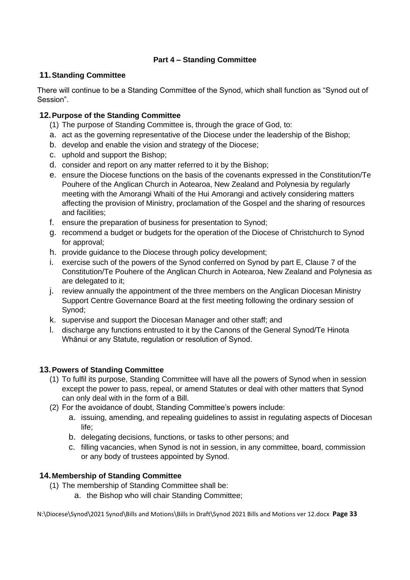#### **Part 4 – Standing Committee**

#### **11.Standing Committee**

There will continue to be a Standing Committee of the Synod, which shall function as "Synod out of Session".

#### **12.Purpose of the Standing Committee**

- (1) The purpose of Standing Committee is, through the grace of God, to:
- a. act as the governing representative of the Diocese under the leadership of the Bishop;
- b. develop and enable the vision and strategy of the Diocese;
- c. uphold and support the Bishop;
- d. consider and report on any matter referred to it by the Bishop;
- e. ensure the Diocese functions on the basis of the covenants expressed in the Constitution/Te Pouhere of the Anglican Church in Aotearoa, New Zealand and Polynesia by regularly meeting with the Amorangi Whaiti of the Hui Amorangi and actively considering matters affecting the provision of Ministry, proclamation of the Gospel and the sharing of resources and facilities;
- f. ensure the preparation of business for presentation to Synod;
- g. recommend a budget or budgets for the operation of the Diocese of Christchurch to Synod for approval;
- h. provide guidance to the Diocese through policy development;
- i. exercise such of the powers of the Synod conferred on Synod by part E, Clause 7 of the Constitution/Te Pouhere of the Anglican Church in Aotearoa, New Zealand and Polynesia as are delegated to it;
- j. review annually the appointment of the three members on the Anglican Diocesan Ministry Support Centre Governance Board at the first meeting following the ordinary session of Synod;
- k. supervise and support the Diocesan Manager and other staff; and
- l. discharge any functions entrusted to it by the Canons of the General Synod/Te Hinota Whānui or any Statute, regulation or resolution of Synod.

#### **13.Powers of Standing Committee**

- (1) To fulfil its purpose, Standing Committee will have all the powers of Synod when in session except the power to pass, repeal, or amend Statutes or deal with other matters that Synod can only deal with in the form of a Bill.
- (2) For the avoidance of doubt, Standing Committee's powers include:
	- a. issuing, amending, and repealing guidelines to assist in regulating aspects of Diocesan life;
	- b. delegating decisions, functions, or tasks to other persons; and
	- c. filling vacancies, when Synod is not in session, in any committee, board, commission or any body of trustees appointed by Synod.

#### **14.Membership of Standing Committee**

- (1) The membership of Standing Committee shall be:
	- a. the Bishop who will chair Standing Committee;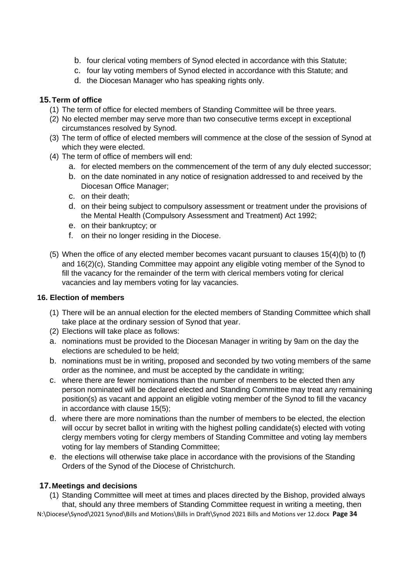- b. four clerical voting members of Synod elected in accordance with this Statute;
- c. four lay voting members of Synod elected in accordance with this Statute; and
- d. the Diocesan Manager who has speaking rights only.

#### **15.Term of office**

- (1) The term of office for elected members of Standing Committee will be three years.
- (2) No elected member may serve more than two consecutive terms except in exceptional circumstances resolved by Synod.
- (3) The term of office of elected members will commence at the close of the session of Synod at which they were elected.
- (4) The term of office of members will end:
	- a. for elected members on the commencement of the term of any duly elected successor;
	- b. on the date nominated in any notice of resignation addressed to and received by the Diocesan Office Manager;
	- c. on their death;
	- d. on their being subject to compulsory assessment or treatment under the provisions of the Mental Health (Compulsory Assessment and Treatment) Act 1992;
	- e. on their bankruptcy; or
	- f. on their no longer residing in the Diocese.
- (5) When the office of any elected member becomes vacant pursuant to clauses 15(4)(b) to (f) and 16(2)(c), Standing Committee may appoint any eligible voting member of the Synod to fill the vacancy for the remainder of the term with clerical members voting for clerical vacancies and lay members voting for lay vacancies.

#### **16. Election of members**

- (1) There will be an annual election for the elected members of Standing Committee which shall take place at the ordinary session of Synod that year.
- (2) Elections will take place as follows:
- a. nominations must be provided to the Diocesan Manager in writing by 9am on the day the elections are scheduled to be held;
- b. nominations must be in writing, proposed and seconded by two voting members of the same order as the nominee, and must be accepted by the candidate in writing;
- c. where there are fewer nominations than the number of members to be elected then any person nominated will be declared elected and Standing Committee may treat any remaining position(s) as vacant and appoint an eligible voting member of the Synod to fill the vacancy in accordance with clause 15(5);
- d. where there are more nominations than the number of members to be elected, the election will occur by secret ballot in writing with the highest polling candidate(s) elected with voting clergy members voting for clergy members of Standing Committee and voting lay members voting for lay members of Standing Committee;
- e. the elections will otherwise take place in accordance with the provisions of the Standing Orders of the Synod of the Diocese of Christchurch.

#### **17.Meetings and decisions**

(1) Standing Committee will meet at times and places directed by the Bishop, provided always that, should any three members of Standing Committee request in writing a meeting, then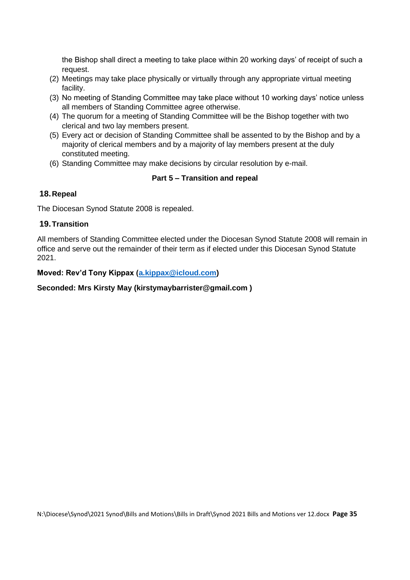the Bishop shall direct a meeting to take place within 20 working days' of receipt of such a request.

- (2) Meetings may take place physically or virtually through any appropriate virtual meeting facility.
- (3) No meeting of Standing Committee may take place without 10 working days' notice unless all members of Standing Committee agree otherwise.
- (4) The quorum for a meeting of Standing Committee will be the Bishop together with two clerical and two lay members present.
- (5) Every act or decision of Standing Committee shall be assented to by the Bishop and by a majority of clerical members and by a majority of lay members present at the duly constituted meeting.
- (6) Standing Committee may make decisions by circular resolution by e-mail.

#### **Part 5 – Transition and repeal**

#### **18.Repeal**

The Diocesan Synod Statute 2008 is repealed.

#### **19.Transition**

All members of Standing Committee elected under the Diocesan Synod Statute 2008 will remain in office and serve out the remainder of their term as if elected under this Diocesan Synod Statute 2021.

#### **Moved: Rev'd Tony Kippax [\(a.kippax@icloud.com\)](mailto:a.kippax@icloud.com)**

#### **Seconded: Mrs Kirsty May (kirstymaybarrister@gmail.com )**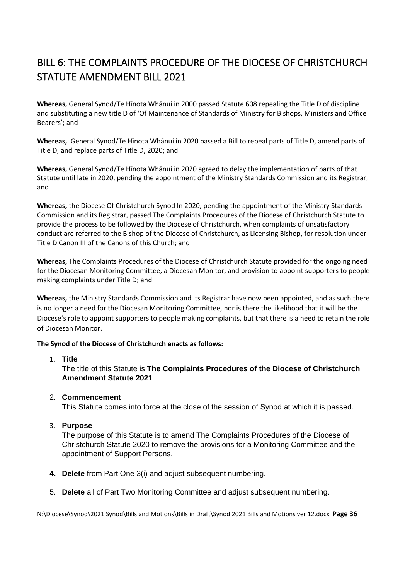# <span id="page-35-0"></span>BILL 6: THE COMPLAINTS PROCEDURE OF THE DIOCESE OF CHRISTCHURCH STATUTE AMENDMENT BILL 2021

**Whereas,** General Synod/Te Hīnota Whānui in 2000 passed Statute 608 repealing the Title D of discipline and substituting a new title D of 'Of Maintenance of Standards of Ministry for Bishops, Ministers and Office Bearers'; and

**Whereas,** General Synod/Te Hīnota Whānui in 2020 passed a Bill to repeal parts of Title D, amend parts of Title D, and replace parts of Title D, 2020; and

**Whereas,** General Synod/Te Hīnota Whānui in 2020 agreed to delay the implementation of parts of that Statute until late in 2020, pending the appointment of the Ministry Standards Commission and its Registrar; and

**Whereas,** the Diocese Of Christchurch Synod In 2020, pending the appointment of the Ministry Standards Commission and its Registrar, passed The Complaints Procedures of the Diocese of Christchurch Statute to provide the process to be followed by the Diocese of Christchurch, when complaints of unsatisfactory conduct are referred to the Bishop of the Diocese of Christchurch, as Licensing Bishop, for resolution under Title D Canon III of the Canons of this Church; and

**Whereas,** The Complaints Procedures of the Diocese of Christchurch Statute provided for the ongoing need for the Diocesan Monitoring Committee, a Diocesan Monitor, and provision to appoint supporters to people making complaints under Title D; and

**Whereas,** the Ministry Standards Commission and its Registrar have now been appointed, and as such there is no longer a need for the Diocesan Monitoring Committee, nor is there the likelihood that it will be the Diocese's role to appoint supporters to people making complaints, but that there is a need to retain the role of Diocesan Monitor.

#### **The Synod of the Diocese of Christchurch enacts as follows:**

#### 1. **Title**

The title of this Statute is **The Complaints Procedures of the Diocese of Christchurch Amendment Statute 2021**

#### 2. **Commencement**

This Statute comes into force at the close of the session of Synod at which it is passed.

3. **Purpose**

The purpose of this Statute is to amend The Complaints Procedures of the Diocese of Christchurch Statute 2020 to remove the provisions for a Monitoring Committee and the appointment of Support Persons.

- **4. Delete** from Part One 3(i) and adjust subsequent numbering.
- 5. **Delete** all of Part Two Monitoring Committee and adjust subsequent numbering.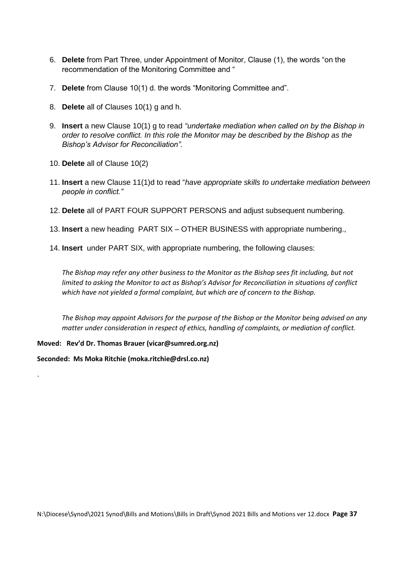- 6. **Delete** from Part Three, under Appointment of Monitor, Clause (1), the words "on the recommendation of the Monitoring Committee and "
- 7. **Delete** from Clause 10(1) d. the words "Monitoring Committee and".
- 8. **Delete** all of Clauses 10(1) g and h.
- 9. **Insert** a new Clause 10(1) g to read *"undertake mediation when called on by the Bishop in order to resolve conflict. In this role the Monitor may be described by the Bishop as the Bishop's Advisor for Reconciliation".*
- 10. **Delete** all of Clause 10(2)
- 11. **Insert** a new Clause 11(1)d to read "*have appropriate skills to undertake mediation between people in conflict."*
- 12. **Delete** all of PART FOUR SUPPORT PERSONS and adjust subsequent numbering.
- 13. **Insert** a new heading PART SIX OTHER BUSINESS with appropriate numbering.,
- 14. **Insert** under PART SIX, with appropriate numbering, the following clauses:

*The Bishop may refer any other business to the Monitor as the Bishop sees fit including, but not limited to asking the Monitor to act as Bishop's Advisor for Reconciliation in situations of conflict which have not yielded a formal complaint, but which are of concern to the Bishop.*

*The Bishop may appoint Advisors for the purpose of the Bishop or the Monitor being advised on any matter under consideration in respect of ethics, handling of complaints, or mediation of conflict.*

**Moved: Rev'd Dr. Thomas Brauer (vicar@sumred.org.nz)**

**Seconded: Ms Moka Ritchie (moka.ritchie@drsl.co.nz)**

.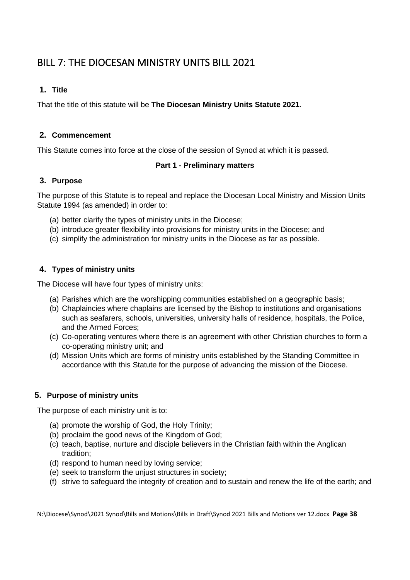# <span id="page-37-0"></span>BILL 7: THE DIOCESAN MINISTRY UNITS BILL 2021

#### **1. Title**

That the title of this statute will be **The Diocesan Ministry Units Statute 2021**.

#### **2. Commencement**

This Statute comes into force at the close of the session of Synod at which it is passed.

#### **Part 1 - Preliminary matters**

#### **3. Purpose**

The purpose of this Statute is to repeal and replace the Diocesan Local Ministry and Mission Units Statute 1994 (as amended) in order to:

- (a) better clarify the types of ministry units in the Diocese;
- (b) introduce greater flexibility into provisions for ministry units in the Diocese; and
- (c) simplify the administration for ministry units in the Diocese as far as possible.

#### **4. Types of ministry units**

The Diocese will have four types of ministry units:

- (a) Parishes which are the worshipping communities established on a geographic basis;
- (b) Chaplaincies where chaplains are licensed by the Bishop to institutions and organisations such as seafarers, schools, universities, university halls of residence, hospitals, the Police, and the Armed Forces;
- (c) Co-operating ventures where there is an agreement with other Christian churches to form a co-operating ministry unit; and
- (d) Mission Units which are forms of ministry units established by the Standing Committee in accordance with this Statute for the purpose of advancing the mission of the Diocese.

#### **5. Purpose of ministry units**

The purpose of each ministry unit is to:

- (a) promote the worship of God, the Holy Trinity;
- (b) proclaim the good news of the Kingdom of God;
- (c) teach, baptise, nurture and disciple believers in the Christian faith within the Anglican tradition;
- (d) respond to human need by loving service;
- (e) seek to transform the unjust structures in society;
- (f) strive to safeguard the integrity of creation and to sustain and renew the life of the earth; and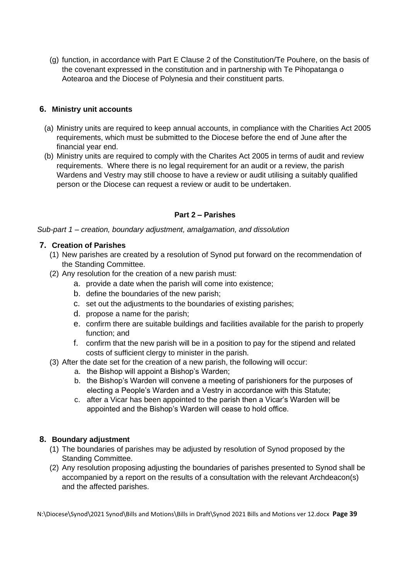(g) function, in accordance with Part E Clause 2 of the Constitution/Te Pouhere, on the basis of the covenant expressed in the constitution and in partnership with Te Pihopatanga o Aotearoa and the Diocese of Polynesia and their constituent parts.

#### **6. Ministry unit accounts**

- (a) Ministry units are required to keep annual accounts, in compliance with the Charities Act 2005 requirements, which must be submitted to the Diocese before the end of June after the financial year end.
- (b) Ministry units are required to comply with the Charites Act 2005 in terms of audit and review requirements. Where there is no legal requirement for an audit or a review, the parish Wardens and Vestry may still choose to have a review or audit utilising a suitably qualified person or the Diocese can request a review or audit to be undertaken.

#### **Part 2 – Parishes**

*Sub-part 1 – creation, boundary adjustment, amalgamation, and dissolution* 

#### **7. Creation of Parishes**

- (1) New parishes are created by a resolution of Synod put forward on the recommendation of the Standing Committee.
- (2) Any resolution for the creation of a new parish must:
	- a. provide a date when the parish will come into existence;
	- b. define the boundaries of the new parish;
	- c. set out the adjustments to the boundaries of existing parishes;
	- d. propose a name for the parish;
	- e. confirm there are suitable buildings and facilities available for the parish to properly function; and
	- f. confirm that the new parish will be in a position to pay for the stipend and related costs of sufficient clergy to minister in the parish.
- (3) After the date set for the creation of a new parish, the following will occur:
	- a. the Bishop will appoint a Bishop's Warden;
	- b. the Bishop's Warden will convene a meeting of parishioners for the purposes of electing a People's Warden and a Vestry in accordance with this Statute;
	- c. after a Vicar has been appointed to the parish then a Vicar's Warden will be appointed and the Bishop's Warden will cease to hold office.

#### **8. Boundary adjustment**

- (1) The boundaries of parishes may be adjusted by resolution of Synod proposed by the Standing Committee.
- (2) Any resolution proposing adjusting the boundaries of parishes presented to Synod shall be accompanied by a report on the results of a consultation with the relevant Archdeacon(s) and the affected parishes.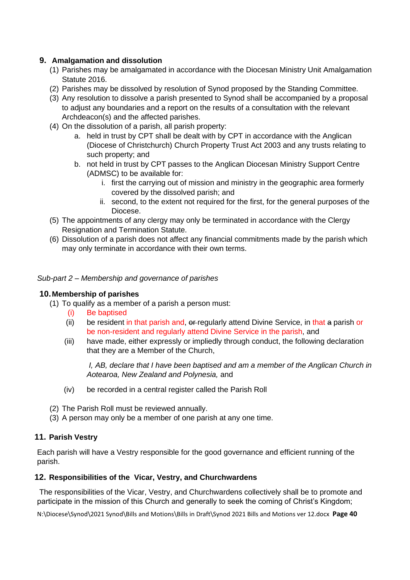#### **9. Amalgamation and dissolution**

- (1) Parishes may be amalgamated in accordance with the Diocesan Ministry Unit Amalgamation Statute 2016.
- (2) Parishes may be dissolved by resolution of Synod proposed by the Standing Committee.
- (3) Any resolution to dissolve a parish presented to Synod shall be accompanied by a proposal to adjust any boundaries and a report on the results of a consultation with the relevant Archdeacon(s) and the affected parishes.
- (4) On the dissolution of a parish, all parish property:
	- a. held in trust by CPT shall be dealt with by CPT in accordance with the Anglican (Diocese of Christchurch) Church Property Trust Act 2003 and any trusts relating to such property; and
	- b. not held in trust by CPT passes to the Anglican Diocesan Ministry Support Centre (ADMSC) to be available for:
		- i. first the carrying out of mission and ministry in the geographic area formerly covered by the dissolved parish; and
		- ii. second, to the extent not required for the first, for the general purposes of the Diocese.
- (5) The appointments of any clergy may only be terminated in accordance with the Clergy Resignation and Termination Statute.
- (6) Dissolution of a parish does not affect any financial commitments made by the parish which may only terminate in accordance with their own terms.

#### *Sub-part 2 – Membership and governance of parishes*

#### **10.Membership of parishes**

- (1) To qualify as a member of a parish a person must:
	- Be baptised
	- (ii) be resident in that parish and, or regularly attend Divine Service, in that a parish or be non-resident and regularly attend Divine Service in the parish, and
	- (iii) have made, either expressly or impliedly through conduct, the following declaration that they are a Member of the Church,

*I, AB, declare that I have been baptised and am a member of the Anglican Church in Aotearoa, New Zealand and Polynesia,* and

- (iv) be recorded in a central register called the Parish Roll
- (2) The Parish Roll must be reviewed annually.
- (3) A person may only be a member of one parish at any one time.

#### **11. Parish Vestry**

Each parish will have a Vestry responsible for the good governance and efficient running of the parish.

#### **12. Responsibilities of the Vicar, Vestry, and Churchwardens**

The responsibilities of the Vicar, Vestry, and Churchwardens collectively shall be to promote and participate in the mission of this Church and generally to seek the coming of Christ's Kingdom;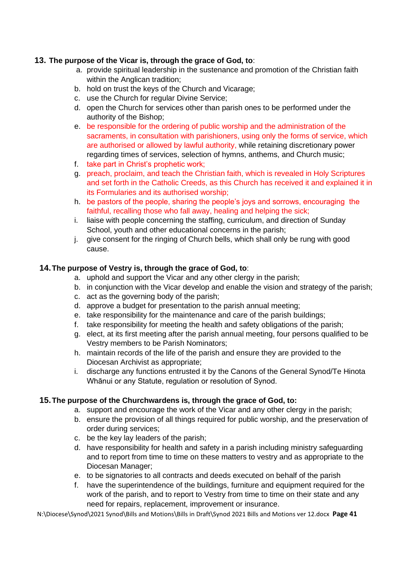#### **13. The purpose of the Vicar is, through the grace of God, to**:

- a. provide spiritual leadership in the sustenance and promotion of the Christian faith within the Anglican tradition;
- b. hold on trust the keys of the Church and Vicarage;
- c. use the Church for regular Divine Service;
- d. open the Church for services other than parish ones to be performed under the authority of the Bishop;
- e. be responsible for the ordering of public worship and the administration of the sacraments, in consultation with parishioners, using only the forms of service, which are authorised or allowed by lawful authority, while retaining discretionary power regarding times of services, selection of hymns, anthems, and Church music;
- f. take part in Christ's prophetic work;
- g. preach, proclaim, and teach the Christian faith, which is revealed in Holy Scriptures and set forth in the Catholic Creeds, as this Church has received it and explained it in its Formularies and its authorised worship;
- h. be pastors of the people, sharing the people's joys and sorrows, encouraging the faithful, recalling those who fall away, healing and helping the sick;
- i. liaise with people concerning the staffing, curriculum, and direction of Sunday School, youth and other educational concerns in the parish;
- j. give consent for the ringing of Church bells, which shall only be rung with good cause.

#### **14.The purpose of Vestry is, through the grace of God, to**:

- a. uphold and support the Vicar and any other clergy in the parish;
- b. in conjunction with the Vicar develop and enable the vision and strategy of the parish;
- c. act as the governing body of the parish;
- d. approve a budget for presentation to the parish annual meeting;
- e. take responsibility for the maintenance and care of the parish buildings;
- f. take responsibility for meeting the health and safety obligations of the parish;
- g. elect, at its first meeting after the parish annual meeting, four persons qualified to be Vestry members to be Parish Nominators;
- h. maintain records of the life of the parish and ensure they are provided to the Diocesan Archivist as appropriate;
- i. discharge any functions entrusted it by the Canons of the General Synod/Te Hinota Whānui or any Statute, regulation or resolution of Synod.

#### **15.The purpose of the Churchwardens is, through the grace of God, to:**

- a. support and encourage the work of the Vicar and any other clergy in the parish;
- b. ensure the provision of all things required for public worship, and the preservation of order during services;
- c. be the key lay leaders of the parish;
- d. have responsibility for health and safety in a parish including ministry safeguarding and to report from time to time on these matters to vestry and as appropriate to the Diocesan Manager;
- e. to be signatories to all contracts and deeds executed on behalf of the parish
- f. have the superintendence of the buildings, furniture and equipment required for the work of the parish, and to report to Vestry from time to time on their state and any need for repairs, replacement, improvement or insurance.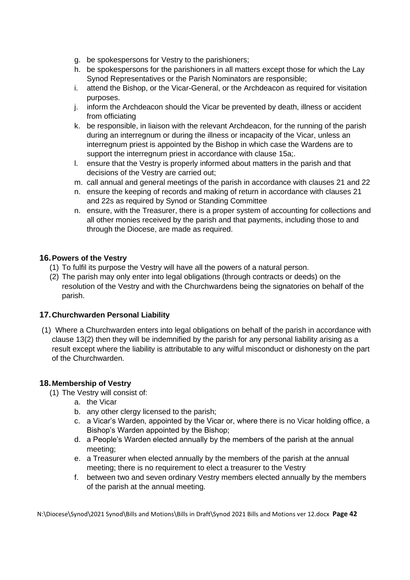- g. be spokespersons for Vestry to the parishioners;
- h. be spokespersons for the parishioners in all matters except those for which the Lay Synod Representatives or the Parish Nominators are responsible;
- i. attend the Bishop, or the Vicar-General, or the Archdeacon as required for visitation purposes.
- j. inform the Archdeacon should the Vicar be prevented by death, illness or accident from officiating
- k. be responsible, in liaison with the relevant Archdeacon, for the running of the parish during an interregnum or during the illness or incapacity of the Vicar, unless an interregnum priest is appointed by the Bishop in which case the Wardens are to support the interregnum priest in accordance with clause 15a;.
- l. ensure that the Vestry is properly informed about matters in the parish and that decisions of the Vestry are carried out;
- m. call annual and general meetings of the parish in accordance with clauses 21 and 22
- n. ensure the keeping of records and making of return in accordance with clauses 21 and 22s as required by Synod or Standing Committee
- n. ensure, with the Treasurer, there is a proper system of accounting for collections and all other monies received by the parish and that payments, including those to and through the Diocese, are made as required.

#### **16.Powers of the Vestry**

- (1) To fulfil its purpose the Vestry will have all the powers of a natural person.
- (2) The parish may only enter into legal obligations (through contracts or deeds) on the resolution of the Vestry and with the Churchwardens being the signatories on behalf of the parish.

#### **17.Churchwarden Personal Liability**

(1) Where a Churchwarden enters into legal obligations on behalf of the parish in accordance with clause 13(2) then they will be indemnified by the parish for any personal liability arising as a result except where the liability is attributable to any wilful misconduct or dishonesty on the part of the Churchwarden.

#### **18.Membership of Vestry**

- (1) The Vestry will consist of:
	- a. the Vicar
	- b. any other clergy licensed to the parish;
	- c. a Vicar's Warden, appointed by the Vicar or, where there is no Vicar holding office, a Bishop's Warden appointed by the Bishop;
	- d. a People's Warden elected annually by the members of the parish at the annual meeting;
	- e. a Treasurer when elected annually by the members of the parish at the annual meeting; there is no requirement to elect a treasurer to the Vestry
	- f. between two and seven ordinary Vestry members elected annually by the members of the parish at the annual meeting.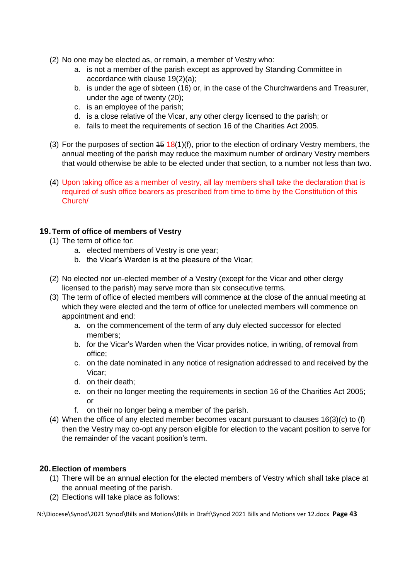- (2) No one may be elected as, or remain, a member of Vestry who:
	- a. is not a member of the parish except as approved by Standing Committee in accordance with clause 19(2)(a);
	- b. is under the age of sixteen (16) or, in the case of the Churchwardens and Treasurer, under the age of twenty (20);
	- c. is an employee of the parish;
	- d. is a close relative of the Vicar, any other clergy licensed to the parish; or
	- e. fails to meet the requirements of section 16 of the Charities Act 2005.
- (3) For the purposes of section  $45 \frac{18(1)(f)}{f}$ , prior to the election of ordinary Vestry members, the annual meeting of the parish may reduce the maximum number of ordinary Vestry members that would otherwise be able to be elected under that section, to a number not less than two.
- (4) Upon taking office as a member of vestry, all lay members shall take the declaration that is required of sush office bearers as prescribed from time to time by the Constitution of this Church/

#### **19.Term of office of members of Vestry**

- (1) The term of office for:
	- a. elected members of Vestry is one year;
	- b. the Vicar's Warden is at the pleasure of the Vicar;
- (2) No elected nor un-elected member of a Vestry (except for the Vicar and other clergy licensed to the parish) may serve more than six consecutive terms.
- (3) The term of office of elected members will commence at the close of the annual meeting at which they were elected and the term of office for unelected members will commence on appointment and end:
	- a. on the commencement of the term of any duly elected successor for elected members;
	- b. for the Vicar's Warden when the Vicar provides notice, in writing, of removal from office;
	- c. on the date nominated in any notice of resignation addressed to and received by the Vicar;
	- d. on their death;
	- e. on their no longer meeting the requirements in section 16 of the Charities Act 2005; or
	- f. on their no longer being a member of the parish.
- (4) When the office of any elected member becomes vacant pursuant to clauses  $16(3)(c)$  to (f) then the Vestry may co-opt any person eligible for election to the vacant position to serve for the remainder of the vacant position's term.

#### **20.Election of members**

- (1) There will be an annual election for the elected members of Vestry which shall take place at the annual meeting of the parish.
- (2) Elections will take place as follows: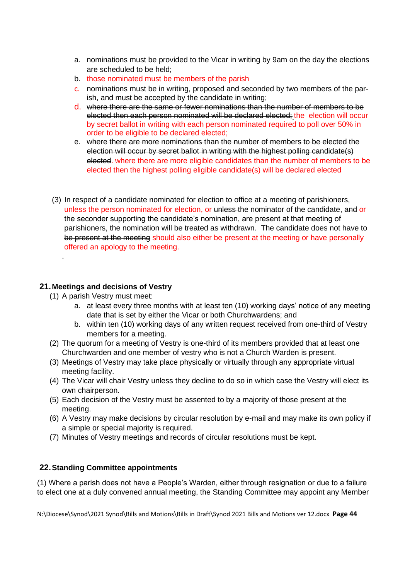- a. nominations must be provided to the Vicar in writing by 9am on the day the elections are scheduled to be held;
- b. those nominated must be members of the parish
- c. nominations must be in writing, proposed and seconded by two members of the parish, and must be accepted by the candidate in writing;
- d. where there are the same or fewer nominations than the number of members to be elected then each person nominated will be declared elected; the election will occur by secret ballot in writing with each person nominated required to poll over 50% in order to be eligible to be declared elected;
- e. where there are more nominations than the number of members to be elected the election will occur by secret ballot in writing with the highest polling candidate(s) elected. where there are more eligible candidates than the number of members to be elected then the highest polling eligible candidate(s) will be declared elected
- (3) In respect of a candidate nominated for election to office at a meeting of parishioners, unless the person nominated for election, or unless-the nominator of the candidate, and or the seconder supporting the candidate's nomination, are present at that meeting of parishioners, the nomination will be treated as withdrawn. The candidate does not have to be present at the meeting should also either be present at the meeting or have personally offered an apology to the meeting.

#### **21.Meetings and decisions of Vestry**

(1) A parish Vestry must meet:

.

- a. at least every three months with at least ten (10) working days' notice of any meeting date that is set by either the Vicar or both Churchwardens; and
- b. within ten (10) working days of any written request received from one-third of Vestry members for a meeting.
- (2) The quorum for a meeting of Vestry is one-third of its members provided that at least one Churchwarden and one member of vestry who is not a Church Warden is present.
- (3) Meetings of Vestry may take place physically or virtually through any appropriate virtual meeting facility.
- (4) The Vicar will chair Vestry unless they decline to do so in which case the Vestry will elect its own chairperson.
- (5) Each decision of the Vestry must be assented to by a majority of those present at the meeting.
- (6) A Vestry may make decisions by circular resolution by e-mail and may make its own policy if a simple or special majority is required.
- (7) Minutes of Vestry meetings and records of circular resolutions must be kept.

#### **22.Standing Committee appointments**

(1) Where a parish does not have a People's Warden, either through resignation or due to a failure to elect one at a duly convened annual meeting, the Standing Committee may appoint any Member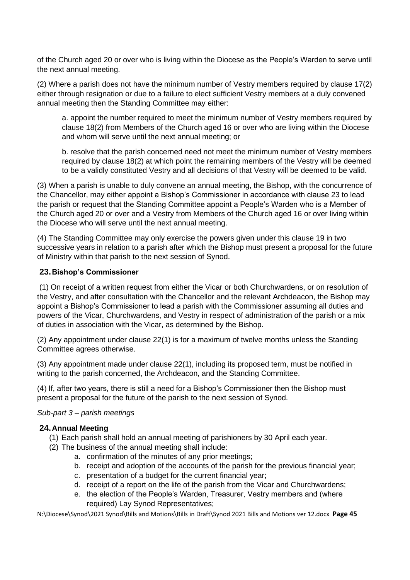of the Church aged 20 or over who is living within the Diocese as the People's Warden to serve until the next annual meeting.

(2) Where a parish does not have the minimum number of Vestry members required by clause 17(2) either through resignation or due to a failure to elect sufficient Vestry members at a duly convened annual meeting then the Standing Committee may either:

a. appoint the number required to meet the minimum number of Vestry members required by clause 18(2) from Members of the Church aged 16 or over who are living within the Diocese and whom will serve until the next annual meeting; or

b. resolve that the parish concerned need not meet the minimum number of Vestry members required by clause 18(2) at which point the remaining members of the Vestry will be deemed to be a validly constituted Vestry and all decisions of that Vestry will be deemed to be valid.

(3) When a parish is unable to duly convene an annual meeting, the Bishop, with the concurrence of the Chancellor, may either appoint a Bishop's Commissioner in accordance with clause 23 to lead the parish or request that the Standing Committee appoint a People's Warden who is a Member of the Church aged 20 or over and a Vestry from Members of the Church aged 16 or over living within the Diocese who will serve until the next annual meeting.

(4) The Standing Committee may only exercise the powers given under this clause 19 in two successive years in relation to a parish after which the Bishop must present a proposal for the future of Ministry within that parish to the next session of Synod.

#### **23.Bishop's Commissioner**

(1) On receipt of a written request from either the Vicar or both Churchwardens, or on resolution of the Vestry, and after consultation with the Chancellor and the relevant Archdeacon, the Bishop may appoint a Bishop's Commissioner to lead a parish with the Commissioner assuming all duties and powers of the Vicar, Churchwardens, and Vestry in respect of administration of the parish or a mix of duties in association with the Vicar, as determined by the Bishop.

(2) Any appointment under clause 22(1) is for a maximum of twelve months unless the Standing Committee agrees otherwise.

(3) Any appointment made under clause 22(1), including its proposed term, must be notified in writing to the parish concerned, the Archdeacon, and the Standing Committee.

(4) If, after two years, there is still a need for a Bishop's Commissioner then the Bishop must present a proposal for the future of the parish to the next session of Synod.

#### *Sub-part 3 – parish meetings*

#### **24.Annual Meeting**

- (1) Each parish shall hold an annual meeting of parishioners by 30 April each year.
- (2) The business of the annual meeting shall include:
	- a. confirmation of the minutes of any prior meetings;
	- b. receipt and adoption of the accounts of the parish for the previous financial year;
	- c. presentation of a budget for the current financial year;
	- d. receipt of a report on the life of the parish from the Vicar and Churchwardens;
	- e. the election of the People's Warden, Treasurer, Vestry members and (where required) Lay Synod Representatives;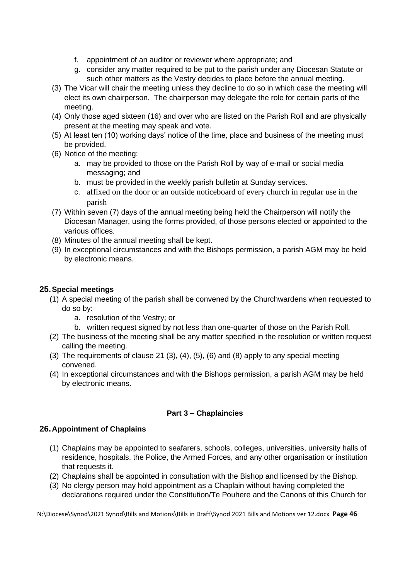- f. appointment of an auditor or reviewer where appropriate; and
- g. consider any matter required to be put to the parish under any Diocesan Statute or such other matters as the Vestry decides to place before the annual meeting.
- (3) The Vicar will chair the meeting unless they decline to do so in which case the meeting will elect its own chairperson. The chairperson may delegate the role for certain parts of the meeting.
- (4) Only those aged sixteen (16) and over who are listed on the Parish Roll and are physically present at the meeting may speak and vote.
- (5) At least ten (10) working days' notice of the time, place and business of the meeting must be provided.
- (6) Notice of the meeting:
	- a. may be provided to those on the Parish Roll by way of e-mail or social media messaging; and
	- b. must be provided in the weekly parish bulletin at Sunday services.
	- c. affixed on the door or an outside noticeboard of every church in regular use in the parish
- (7) Within seven (7) days of the annual meeting being held the Chairperson will notify the Diocesan Manager, using the forms provided, of those persons elected or appointed to the various offices.
- (8) Minutes of the annual meeting shall be kept.
- (9) In exceptional circumstances and with the Bishops permission, a parish AGM may be held by electronic means.

#### **25.Special meetings**

- (1) A special meeting of the parish shall be convened by the Churchwardens when requested to do so by:
	- a. resolution of the Vestry; or
	- b. written request signed by not less than one-quarter of those on the Parish Roll.
- (2) The business of the meeting shall be any matter specified in the resolution or written request calling the meeting.
- (3) The requirements of clause 21 (3), (4), (5), (6) and (8) apply to any special meeting convened.
- (4) In exceptional circumstances and with the Bishops permission, a parish AGM may be held by electronic means.

#### **Part 3 – Chaplaincies**

#### **26.Appointment of Chaplains**

- (1) Chaplains may be appointed to seafarers, schools, colleges, universities, university halls of residence, hospitals, the Police, the Armed Forces, and any other organisation or institution that requests it.
- (2) Chaplains shall be appointed in consultation with the Bishop and licensed by the Bishop.
- (3) No clergy person may hold appointment as a Chaplain without having completed the declarations required under the Constitution/Te Pouhere and the Canons of this Church for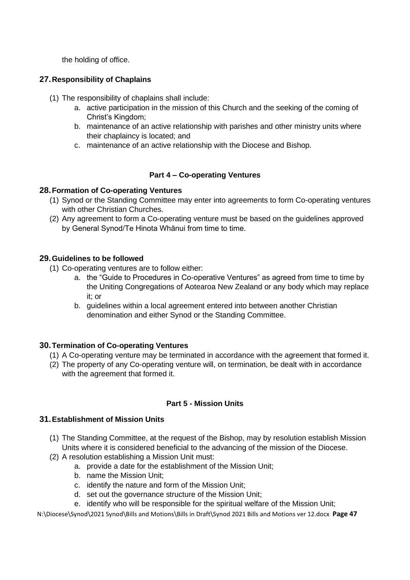the holding of office.

#### **27.Responsibility of Chaplains**

- (1) The responsibility of chaplains shall include:
	- a. active participation in the mission of this Church and the seeking of the coming of Christ's Kingdom;
	- b. maintenance of an active relationship with parishes and other ministry units where their chaplaincy is located; and
	- c. maintenance of an active relationship with the Diocese and Bishop.

#### **Part 4 – Co-operating Ventures**

#### **28.Formation of Co-operating Ventures**

- (1) Synod or the Standing Committee may enter into agreements to form Co-operating ventures with other Christian Churches.
- (2) Any agreement to form a Co-operating venture must be based on the guidelines approved by General Synod/Te Hinota Whānui from time to time.

#### **29.Guidelines to be followed**

- (1) Co-operating ventures are to follow either:
	- a. the "Guide to Procedures in Co-operative Ventures" as agreed from time to time by the Uniting Congregations of Aotearoa New Zealand or any body which may replace it; or
	- b. guidelines within a local agreement entered into between another Christian denomination and either Synod or the Standing Committee.

#### **30.Termination of Co-operating Ventures**

- (1) A Co-operating venture may be terminated in accordance with the agreement that formed it.
- (2) The property of any Co-operating venture will, on termination, be dealt with in accordance with the agreement that formed it.

#### **Part 5 - Mission Units**

#### **31.Establishment of Mission Units**

- (1) The Standing Committee, at the request of the Bishop, may by resolution establish Mission Units where it is considered beneficial to the advancing of the mission of the Diocese.
- (2) A resolution establishing a Mission Unit must:
	- a. provide a date for the establishment of the Mission Unit;
	- b. name the Mission Unit;
	- c. identify the nature and form of the Mission Unit;
	- d. set out the governance structure of the Mission Unit;
	- e. identify who will be responsible for the spiritual welfare of the Mission Unit;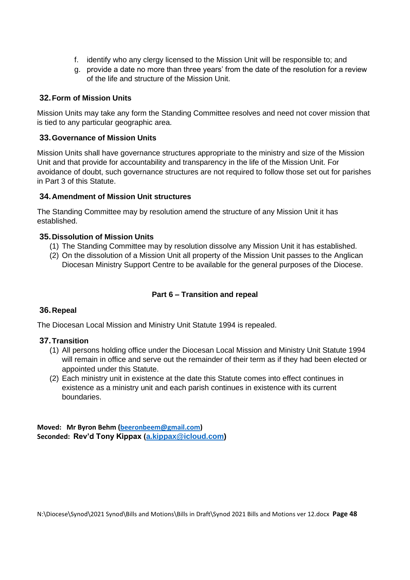- f. identify who any clergy licensed to the Mission Unit will be responsible to; and
- g. provide a date no more than three years' from the date of the resolution for a review of the life and structure of the Mission Unit.

#### **32.Form of Mission Units**

Mission Units may take any form the Standing Committee resolves and need not cover mission that is tied to any particular geographic area.

#### **33.Governance of Mission Units**

Mission Units shall have governance structures appropriate to the ministry and size of the Mission Unit and that provide for accountability and transparency in the life of the Mission Unit. For avoidance of doubt, such governance structures are not required to follow those set out for parishes in Part 3 of this Statute.

#### **34.Amendment of Mission Unit structures**

The Standing Committee may by resolution amend the structure of any Mission Unit it has established.

#### **35.Dissolution of Mission Units**

- (1) The Standing Committee may by resolution dissolve any Mission Unit it has established.
- (2) On the dissolution of a Mission Unit all property of the Mission Unit passes to the Anglican Diocesan Ministry Support Centre to be available for the general purposes of the Diocese.

#### **Part 6 – Transition and repeal**

#### **36.Repeal**

The Diocesan Local Mission and Ministry Unit Statute 1994 is repealed.

#### **37.Transition**

- (1) All persons holding office under the Diocesan Local Mission and Ministry Unit Statute 1994 will remain in office and serve out the remainder of their term as if they had been elected or appointed under this Statute.
- (2) Each ministry unit in existence at the date this Statute comes into effect continues in existence as a ministry unit and each parish continues in existence with its current boundaries.

**Moved: Mr Byron Behm [\(beeronbeem@gmail.com\)](mailto:beeronbeem@gmail.com) Seconded: Rev'd Tony Kippax [\(a.kippax@icloud.com\)](mailto:a.kippax@icloud.com)**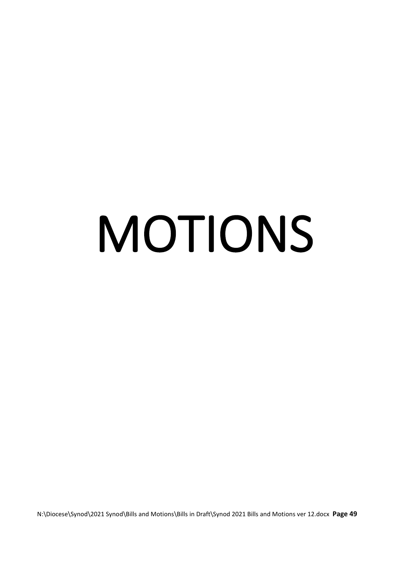# <span id="page-48-0"></span>MOTIONS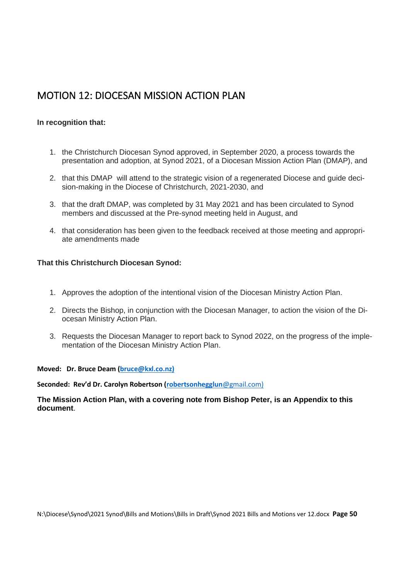# <span id="page-49-0"></span>MOTION 12: DIOCESAN MISSION ACTION PLAN

#### **In recognition that:**

- 1. the Christchurch Diocesan Synod approved, in September 2020, a process towards the presentation and adoption, at Synod 2021, of a Diocesan Mission Action Plan (DMAP), and
- 2. that this DMAP will attend to the strategic vision of a regenerated Diocese and guide decision-making in the Diocese of Christchurch, 2021-2030, and
- 3. that the draft DMAP, was completed by 31 May 2021 and has been circulated to Synod members and discussed at the Pre-synod meeting held in August, and
- 4. that consideration has been given to the feedback received at those meeting and appropriate amendments made

#### **That this Christchurch Diocesan Synod:**

- 1. Approves the adoption of the intentional vision of the Diocesan Ministry Action Plan.
- 2. Directs the Bishop, in conjunction with the Diocesan Manager, to action the vision of the Diocesan Ministry Action Plan.
- 3. Requests the Diocesan Manager to report back to Synod 2022, on the progress of the implementation of the Diocesan Ministry Action Plan.

#### **Moved: Dr. Bruce Deam [\(bruce@kxl.co.nz\)](mailto:bruce@kxl.co.nz)**

**Seconded: Rev'd Dr. Carolyn Robertson (robertsonhegglun**@gmail.com)

**The Mission Action Plan, with a covering note from Bishop Peter, is an Appendix to this document**.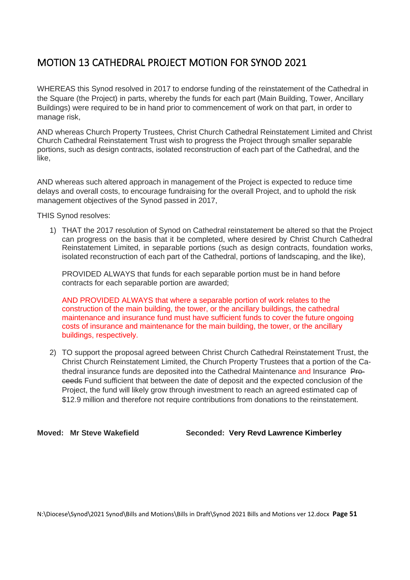# <span id="page-50-0"></span>MOTION 13 CATHEDRAL PROJECT MOTION FOR SYNOD 2021

WHEREAS this Synod resolved in 2017 to endorse funding of the reinstatement of the Cathedral in the Square (the Project) in parts, whereby the funds for each part (Main Building, Tower, Ancillary Buildings) were required to be in hand prior to commencement of work on that part, in order to manage risk,

AND whereas Church Property Trustees, Christ Church Cathedral Reinstatement Limited and Christ Church Cathedral Reinstatement Trust wish to progress the Project through smaller separable portions, such as design contracts, isolated reconstruction of each part of the Cathedral, and the like,

AND whereas such altered approach in management of the Project is expected to reduce time delays and overall costs, to encourage fundraising for the overall Project, and to uphold the risk management objectives of the Synod passed in 2017,

THIS Synod resolves:

1) THAT the 2017 resolution of Synod on Cathedral reinstatement be altered so that the Project can progress on the basis that it be completed, where desired by Christ Church Cathedral Reinstatement Limited, in separable portions (such as design contracts, foundation works, isolated reconstruction of each part of the Cathedral, portions of landscaping, and the like),

PROVIDED ALWAYS that funds for each separable portion must be in hand before contracts for each separable portion are awarded;

AND PROVIDED ALWAYS that where a separable portion of work relates to the construction of the main building, the tower, or the ancillary buildings, the cathedral maintenance and insurance fund must have sufficient funds to cover the future ongoing costs of insurance and maintenance for the main building, the tower, or the ancillary buildings, respectively.

2) TO support the proposal agreed between Christ Church Cathedral Reinstatement Trust, the Christ Church Reinstatement Limited, the Church Property Trustees that a portion of the Cathedral insurance funds are deposited into the Cathedral Maintenance and Insurance Proceeds Fund sufficient that between the date of deposit and the expected conclusion of the Project, the fund will likely grow through investment to reach an agreed estimated cap of \$12.9 million and therefore not require contributions from donations to the reinstatement.

**Moved: Mr Steve Wakefield Seconded: Very Revd Lawrence Kimberley**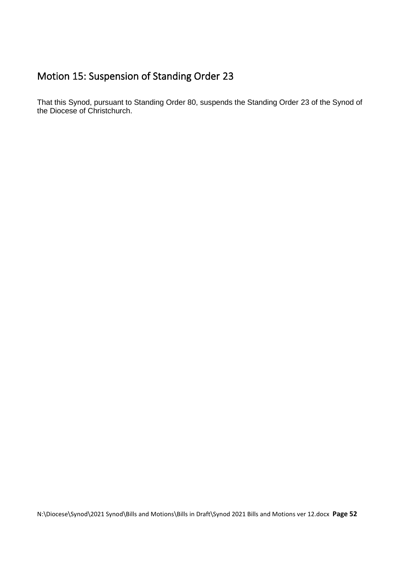# <span id="page-51-0"></span>Motion 15: Suspension of Standing Order 23

That this Synod, pursuant to Standing Order 80, suspends the Standing Order 23 of the Synod of the Diocese of Christchurch.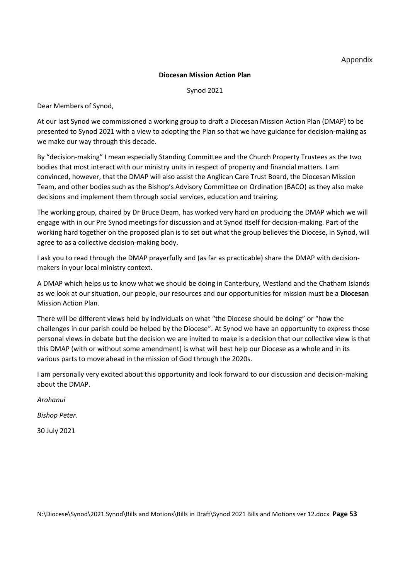Appendix

#### **Diocesan Mission Action Plan**

Synod 2021

Dear Members of Synod,

At our last Synod we commissioned a working group to draft a Diocesan Mission Action Plan (DMAP) to be presented to Synod 2021 with a view to adopting the Plan so that we have guidance for decision-making as we make our way through this decade.

By "decision-making" I mean especially Standing Committee and the Church Property Trustees as the two bodies that most interact with our ministry units in respect of property and financial matters. I am convinced, however, that the DMAP will also assist the Anglican Care Trust Board, the Diocesan Mission Team, and other bodies such as the Bishop's Advisory Committee on Ordination (BACO) as they also make decisions and implement them through social services, education and training.

The working group, chaired by Dr Bruce Deam, has worked very hard on producing the DMAP which we will engage with in our Pre Synod meetings for discussion and at Synod itself for decision-making. Part of the working hard together on the proposed plan is to set out what the group believes the Diocese, in Synod, will agree to as a collective decision-making body.

I ask you to read through the DMAP prayerfully and (as far as practicable) share the DMAP with decisionmakers in your local ministry context.

A DMAP which helps us to know what we should be doing in Canterbury, Westland and the Chatham Islands as we look at our situation, our people, our resources and our opportunities for mission must be a **Diocesan** Mission Action Plan.

There will be different views held by individuals on what "the Diocese should be doing" or "how the challenges in our parish could be helped by the Diocese". At Synod we have an opportunity to express those personal views in debate but the decision we are invited to make is a decision that our collective view is that this DMAP (with or without some amendment) is what will best help our Diocese as a whole and in its various parts to move ahead in the mission of God through the 2020s.

I am personally very excited about this opportunity and look forward to our discussion and decision-making about the DMAP.

*Arohanui*

*Bishop Peter*.

30 July 2021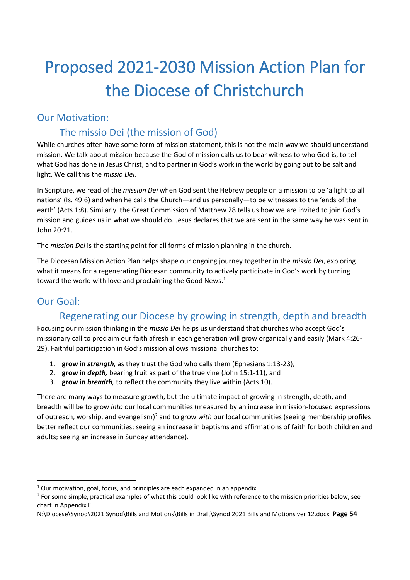# <span id="page-53-0"></span>Proposed 2021-2030 Mission Action Plan for the Diocese of Christchurch

## <span id="page-53-1"></span>Our Motivation:

# The missio Dei (the mission of God)

While churches often have some form of mission statement, this is not the main way we should understand mission. We talk about mission because the God of mission calls us to bear witness to who God is, to tell what God has done in Jesus Christ, and to partner in God's work in the world by going out to be salt and light. We call this the *missio Dei.* 

In Scripture, we read of the *mission Dei* when God sent the Hebrew people on a mission to be 'a light to all nations' (Is. 49:6) and when he calls the Church—and us personally—to be witnesses to the 'ends of the earth' (Acts 1:8). Similarly, the Great Commission of Matthew 28 tells us how we are invited to join God's mission and guides us in what we should do. Jesus declares that we are sent in the same way he was sent in John 20:21.

The *mission Dei* is the starting point for all forms of mission planning in the church.

The Diocesan Mission Action Plan helps shape our ongoing journey together in the *missio Dei*, exploring what it means for a regenerating Diocesan community to actively participate in God's work by turning toward the world with love and proclaiming the Good News.<sup>1</sup>

# <span id="page-53-2"></span>Our Goal:

# Regenerating our Diocese by growing in strength, depth and breadth

Focusing our mission thinking in the *missio Dei* helps us understand that churches who accept God's missionary call to proclaim our faith afresh in each generation will grow organically and easily (Mark 4:26- 29). Faithful participation in God's mission allows missional churches to:

- 1. **grow in** *strength,* as they trust the God who calls them (Ephesians 1:13-23),
- 2. **grow in** *depth,* bearing fruit as part of the true vine (John 15:1-11), and
- 3. **grow in** *breadth,* to reflect the community they live within (Acts 10).

There are many ways to measure growth, but the ultimate impact of growing in strength, depth, and breadth will be to grow *into* our local communities (measured by an increase in mission-focused expressions of outreach, worship, and evangelism)<sup>2</sup> and to grow *with* our local communities (seeing membership profiles better reflect our communities; seeing an increase in baptisms and affirmations of faith for both children and adults; seeing an increase in Sunday attendance).

 $1$  Our motivation, goal, focus, and principles are each expanded in an appendix.

<sup>&</sup>lt;sup>2</sup> For some simple, practical examples of what this could look like with reference to the mission priorities below, see chart in Appendix E.

N:\Diocese\Synod\2021 Synod\Bills and Motions\Bills in Draft\Synod 2021 Bills and Motions ver 12.docx **Page 54**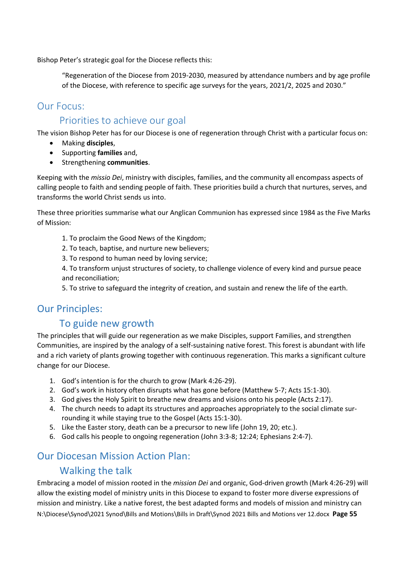Bishop Peter's strategic goal for the Diocese reflects this:

"Regeneration of the Diocese from 2019-2030, measured by attendance numbers and by age profile of the Diocese, with reference to specific age surveys for the years, 2021/2, 2025 and 2030."

#### <span id="page-54-0"></span>Our Focus:

#### Priorities to achieve our goal

The vision Bishop Peter has for our Diocese is one of regeneration through Christ with a particular focus on:

- Making **disciples**,
- Supporting **families** and,
- Strengthening **communities**.

Keeping with the *missio Dei*, ministry with disciples, families, and the community all encompass aspects of calling people to faith and sending people of faith. These priorities build a church that nurtures, serves, and transforms the world Christ sends us into.

These three priorities summarise what our Anglican Communion has expressed since 1984 as the Five Marks of Mission:

- 1. To proclaim the Good News of the Kingdom;
- 2. To teach, baptise, and nurture new believers;
- 3. To respond to human need by loving service;

4. To transform unjust structures of society, to challenge violence of every kind and pursue peace and reconciliation;

5. To strive to safeguard the integrity of creation, and sustain and renew the life of the earth.

#### <span id="page-54-1"></span>Our Principles:

#### To guide new growth

The principles that will guide our regeneration as we make Disciples, support Families, and strengthen Communities, are inspired by the analogy of a self-sustaining native forest. This forest is abundant with life and a rich variety of plants growing together with continuous regeneration. This marks a significant culture change for our Diocese.

- 1. God's intention is for the church to grow (Mark 4:26-29).
- 2. God's work in history often disrupts what has gone before (Matthew 5-7; Acts 15:1-30).
- 3. God gives the Holy Spirit to breathe new dreams and visions onto his people (Acts 2:17).
- 4. The church needs to adapt its structures and approaches appropriately to the social climate surrounding it while staying true to the Gospel (Acts 15:1-30).
- 5. Like the Easter story, death can be a precursor to new life (John 19, 20; etc.).
- 6. God calls his people to ongoing regeneration (John 3:3-8; 12:24; Ephesians 2:4-7).

# <span id="page-54-2"></span>Our Diocesan Mission Action Plan:

#### Walking the talk

N:\Diocese\Synod\2021 Synod\Bills and Motions\Bills in Draft\Synod 2021 Bills and Motions ver 12.docx **Page 55** Embracing a model of mission rooted in the *mission Dei* and organic, God-driven growth (Mark 4:26-29) will allow the existing model of ministry units in this Diocese to expand to foster more diverse expressions of mission and ministry. Like a native forest, the best adapted forms and models of mission and ministry can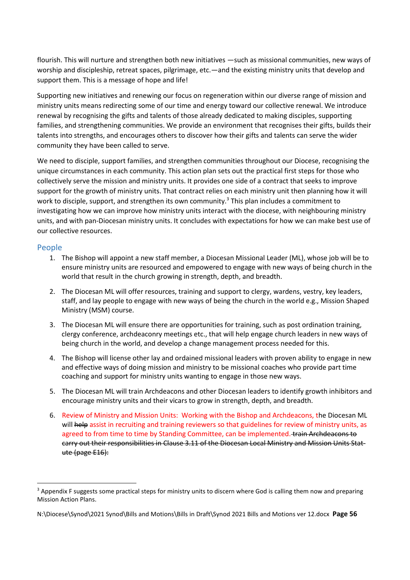flourish. This will nurture and strengthen both new initiatives —such as missional communities, new ways of worship and discipleship, retreat spaces, pilgrimage, etc.—and the existing ministry units that develop and support them. This is a message of hope and life!

Supporting new initiatives and renewing our focus on regeneration within our diverse range of mission and ministry units means redirecting some of our time and energy toward our collective renewal. We introduce renewal by recognising the gifts and talents of those already dedicated to making disciples, supporting families, and strengthening communities. We provide an environment that recognises their gifts, builds their talents into strengths, and encourages others to discover how their gifts and talents can serve the wider community they have been called to serve.

We need to disciple, support families, and strengthen communities throughout our Diocese, recognising the unique circumstances in each community. This action plan sets out the practical first steps for those who collectively serve the mission and ministry units. It provides one side of a contract that seeks to improve support for the growth of ministry units. That contract relies on each ministry unit then planning how it will work to disciple, support, and strengthen its own community.<sup>3</sup> This plan includes a commitment to investigating how we can improve how ministry units interact with the diocese, with neighbouring ministry units, and with pan-Diocesan ministry units. It concludes with expectations for how we can make best use of our collective resources.

#### <span id="page-55-0"></span>People

- 1. The Bishop will appoint a new staff member, a Diocesan Missional Leader (ML), whose job will be to ensure ministry units are resourced and empowered to engage with new ways of being church in the world that result in the church growing in strength, depth, and breadth.
- 2. The Diocesan ML will offer resources, training and support to clergy, wardens, vestry, key leaders, staff, and lay people to engage with new ways of being the church in the world e.g., Mission Shaped Ministry (MSM) course.
- 3. The Diocesan ML will ensure there are opportunities for training, such as post ordination training, clergy conference, archdeaconry meetings etc., that will help engage church leaders in new ways of being church in the world, and develop a change management process needed for this.
- 4. The Bishop will license other lay and ordained missional leaders with proven ability to engage in new and effective ways of doing mission and ministry to be missional coaches who provide part time coaching and support for ministry units wanting to engage in those new ways.
- 5. The Diocesan ML will train Archdeacons and other Diocesan leaders to identify growth inhibitors and encourage ministry units and their vicars to grow in strength, depth, and breadth.
- 6. Review of Ministry and Mission Units: Working with the Bishop and Archdeacons, the Diocesan ML will help assist in recruiting and training reviewers so that guidelines for review of ministry units, as agreed to from time to time by Standing Committee, can be implemented. train Archdeacons to carry out their responsibilities in Clause 3.11 of the Diocesan Local Ministry and Mission Units Statute (page E16):

<sup>&</sup>lt;sup>3</sup> Appendix F suggests some practical steps for ministry units to discern where God is calling them now and preparing Mission Action Plans.

N:\Diocese\Synod\2021 Synod\Bills and Motions\Bills in Draft\Synod 2021 Bills and Motions ver 12.docx **Page 56**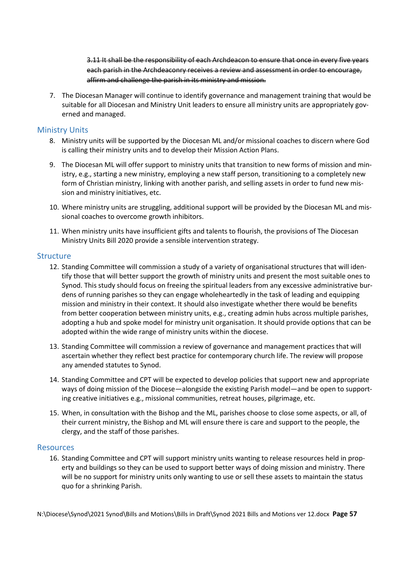3.11 It shall be the responsibility of each Archdeacon to ensure that once in every five years each parish in the Archdeaconry receives a review and assessment in order to encourage, affirm and challenge the parish in its ministry and mission.

7. The Diocesan Manager will continue to identify governance and management training that would be suitable for all Diocesan and Ministry Unit leaders to ensure all ministry units are appropriately governed and managed.

#### <span id="page-56-0"></span>Ministry Units

- 8. Ministry units will be supported by the Diocesan ML and/or missional coaches to discern where God is calling their ministry units and to develop their Mission Action Plans.
- 9. The Diocesan ML will offer support to ministry units that transition to new forms of mission and ministry, e.g., starting a new ministry, employing a new staff person, transitioning to a completely new form of Christian ministry, linking with another parish, and selling assets in order to fund new mission and ministry initiatives, etc.
- 10. Where ministry units are struggling, additional support will be provided by the Diocesan ML and missional coaches to overcome growth inhibitors.
- 11. When ministry units have insufficient gifts and talents to flourish, the provisions of The Diocesan Ministry Units Bill 2020 provide a sensible intervention strategy.

#### <span id="page-56-1"></span>**Structure**

- 12. Standing Committee will commission a study of a variety of organisational structures that will identify those that will better support the growth of ministry units and present the most suitable ones to Synod. This study should focus on freeing the spiritual leaders from any excessive administrative burdens of running parishes so they can engage wholeheartedly in the task of leading and equipping mission and ministry in their context. It should also investigate whether there would be benefits from better cooperation between ministry units, e.g., creating admin hubs across multiple parishes, adopting a hub and spoke model for ministry unit organisation. It should provide options that can be adopted within the wide range of ministry units within the diocese.
- 13. Standing Committee will commission a review of governance and management practices that will ascertain whether they reflect best practice for contemporary church life. The review will propose any amended statutes to Synod.
- 14. Standing Committee and CPT will be expected to develop policies that support new and appropriate ways of doing mission of the Diocese—alongside the existing Parish model—and be open to supporting creative initiatives e.g., missional communities, retreat houses, pilgrimage, etc.
- 15. When, in consultation with the Bishop and the ML, parishes choose to close some aspects, or all, of their current ministry, the Bishop and ML will ensure there is care and support to the people, the clergy, and the staff of those parishes.

#### <span id="page-56-2"></span>**Resources**

16. Standing Committee and CPT will support ministry units wanting to release resources held in property and buildings so they can be used to support better ways of doing mission and ministry. There will be no support for ministry units only wanting to use or sell these assets to maintain the status quo for a shrinking Parish.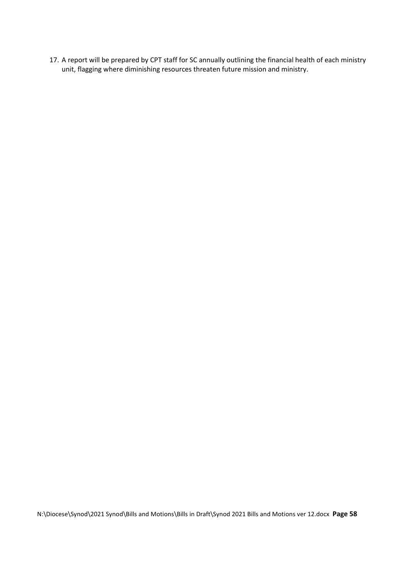17. A report will be prepared by CPT staff for SC annually outlining the financial health of each ministry unit, flagging where diminishing resources threaten future mission and ministry.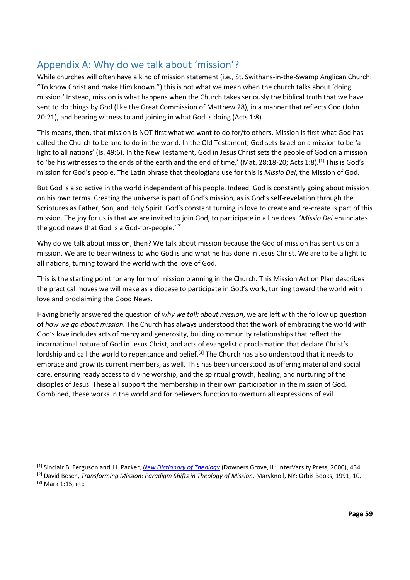## <span id="page-58-0"></span>Appendix A: Why do we talk about 'mission'?

While churches will often have a kind of mission statement (i.e., St. Swithans-in-the-Swamp Anglican Church: "To know Christ and make Him known.") this is not what we mean when the church talks about 'doing mission.' Instead, mission is what happens when the Church takes seriously the biblical truth that we have sent to do things by God (like the Great Commission of Matthew 28), in a manner that reflects God (John 20:21), and bearing witness to and joining in what God is doing (Acts 1:8).

This means, then, that mission is NOT first what we want to do for/to others. Mission is first what God has called the Church to be and to do in the world. In the Old Testament, God sets Israel on a mission to be 'a light to all nations' (Is. 49:6). In the New Testament, God in Jesus Christ sets the people of God on a mission to 'be his witnesses to the ends of the earth and the end of time,' (Mat. 28:18-20; Acts 1:8).<sup>[1]</sup> This is God's mission for God's people. The Latin phrase that theologians use for this is *Missio Dei*, the Mission of God.

But God is also active in the world independent of his people. Indeed, God is constantly going about mission on his own terms. Creating the universe is part of God's mission, as is God's self-revelation through the Scriptures as Father, Son, and Holy Spirit. God's constant turning in love to create and re-create is part of this mission. The joy for us is that we are invited to join God, to participate in all he does. '*Missio Dei* enunciates the good news that God is a God-for-people.'[2]

Why do we talk about mission, then? We talk about mission because the God of mission has sent us on a mission. We are to bear witness to who God is and what he has done in Jesus Christ. We are to be a light to all nations, turning toward the world with the love of God.

This is the starting point for any form of mission planning in the Church. This Mission Action Plan describes the practical moves we will make as a diocese to participate in God's work, turning toward the world with love and proclaiming the Good News.

Having briefly answered the question of *why we talk about mission*, we are left with the follow up question of *how we go about mission.* The Church has always understood that the work of embracing the world with God's love includes acts of mercy and generosity, building community relationships that reflect the incarnational nature of God in Jesus Christ, and acts of evangelistic proclamation that declare Christ's lordship and call the world to repentance and belief.<sup>[3]</sup> The Church has also understood that it needs to embrace and grow its current members, as well. This has been understood as offering material and social care, ensuring ready access to divine worship, and the spiritual growth, healing, and nurturing of the disciples of Jesus. These all support the membership in their own participation in the mission of God. Combined, these works in the world and for believers function to overturn all expressions of evil.

<sup>[1]</sup> Sinclair B. Ferguson and J.I. Packer, *[New Dictionary of Theology](https://ref.ly/logosres/ndictheo?ref=Page.p+434&off=3717&ctx=esses+its+impact+on+~different+societies+)* (Downers Grove, IL: InterVarsity Press, 2000), 434.

<sup>[2]</sup> David Bosch, *Transforming Mission: Paradigm Shifts in Theology of Mission*. Maryknoll, NY: Orbis Books, 1991, 10. [3] Mark 1:15, etc.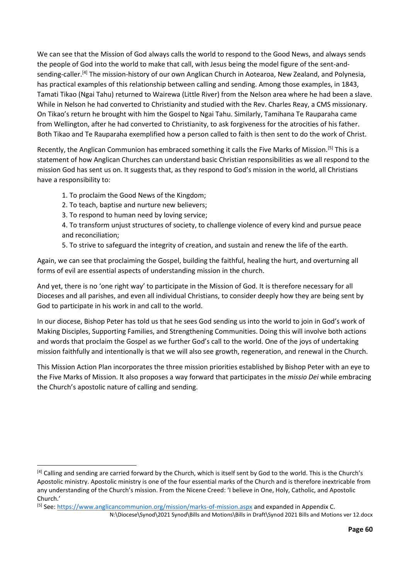We can see that the Mission of God always calls the world to respond to the Good News, and always sends the people of God into the world to make that call, with Jesus being the model figure of the sent-andsending-caller.[4] The mission-history of our own Anglican Church in Aotearoa, New Zealand, and Polynesia, has practical examples of this relationship between calling and sending. Among those examples, in 1843, Tamati Tikao (Ngai Tahu) returned to Wairewa (Little River) from the Nelson area where he had been a slave. While in Nelson he had converted to Christianity and studied with the Rev. Charles Reay, a CMS missionary. On Tikao's return he brought with him the Gospel to Ngai Tahu. Similarly, Tamihana Te Rauparaha came from Wellington, after he had converted to Christianity, to ask forgiveness for the atrocities of his father. Both Tikao and Te Rauparaha exemplified how a person called to faith is then sent to do the work of Christ.

Recently, the Anglican Communion has embraced something it calls the Five Marks of Mission.<sup>[5]</sup> This is a statement of how Anglican Churches can understand basic Christian responsibilities as we all respond to the mission God has sent us on. It suggests that, as they respond to God's mission in the world, all Christians have a responsibility to:

1. To proclaim the Good News of the Kingdom;

- 2. To teach, baptise and nurture new believers;
- 3. To respond to human need by loving service;

4. To transform unjust structures of society, to challenge violence of every kind and pursue peace and reconciliation;

5. To strive to safeguard the integrity of creation, and sustain and renew the life of the earth.

Again, we can see that proclaiming the Gospel, building the faithful, healing the hurt, and overturning all forms of evil are essential aspects of understanding mission in the church.

And yet, there is no 'one right way' to participate in the Mission of God. It is therefore necessary for all Dioceses and all parishes, and even all individual Christians, to consider deeply how they are being sent by God to participate in his work in and call to the world.

In our diocese, Bishop Peter has told us that he sees God sending us into the world to join in God's work of Making Disciples, Supporting Families, and Strengthening Communities. Doing this will involve both actions and words that proclaim the Gospel as we further God's call to the world. One of the joys of undertaking mission faithfully and intentionally is that we will also see growth, regeneration, and renewal in the Church.

This Mission Action Plan incorporates the three mission priorities established by Bishop Peter with an eye to the Five Marks of Mission. It also proposes a way forward that participates in the *missio Dei* while embracing the Church's apostolic nature of calling and sending.

<sup>[4]</sup> Calling and sending are carried forward by the Church, which is itself sent by God to the world. This is the Church's Apostolic ministry. Apostolic ministry is one of the four essential marks of the Church and is therefore inextricable from any understanding of the Church's mission. From the Nicene Creed: 'I believe in One, Holy, Catholic, and Apostolic Church.'

N:\Diocese\Synod\2021 Synod\Bills and Motions\Bills in Draft\Synod 2021 Bills and Motions ver 12.docx [5] See:<https://www.anglicancommunion.org/mission/marks-of-mission.aspx> and expanded in Appendix C.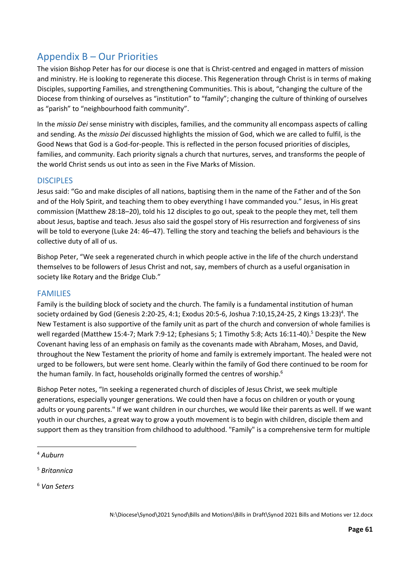# <span id="page-60-0"></span>Appendix B – Our Priorities

The vision Bishop Peter has for our diocese is one that is Christ-centred and engaged in matters of mission and ministry. He is looking to regenerate this diocese. This Regeneration through Christ is in terms of making Disciples, supporting Families, and strengthening Communities. This is about, "changing the culture of the Diocese from thinking of ourselves as "institution" to "family"; changing the culture of thinking of ourselves as "parish" to "neighbourhood faith community".

In the *missio Dei* sense ministry with disciples, families, and the community all encompass aspects of calling and sending. As the *missio Dei* discussed highlights the mission of God, which we are called to fulfil, is the Good News that God is a God-for-people. This is reflected in the person focused priorities of disciples, families, and community. Each priority signals a church that nurtures, serves, and transforms the people of the world Christ sends us out into as seen in the Five Marks of Mission.

#### <span id="page-60-1"></span>**DISCIPLES**

Jesus said: "Go and make disciples of all nations, baptising them in the name of the Father and of the Son and of the Holy Spirit, and teaching them to obey everything I have commanded you." Jesus, in His great commission (Matthew 28:18–20), told his 12 disciples to go out, speak to the people they met, tell them about Jesus, baptise and teach. Jesus also said the gospel story of His resurrection and forgiveness of sins will be told to everyone (Luke 24: 46–47). Telling the story and teaching the beliefs and behaviours is the collective duty of all of us.

Bishop Peter, "We seek a regenerated church in which people active in the life of the church understand themselves to be followers of Jesus Christ and not, say, members of church as a useful organisation in society like Rotary and the Bridge Club."

#### <span id="page-60-2"></span>FAMILIES

Family is the building block of society and the church. The family is a fundamental institution of human society ordained by God (Genesis 2:20-25, 4:1; Exodus 20:5-6, Joshua 7:10,15,24-25, 2 Kings 13:23)<sup>4</sup>. The New Testament is also supportive of the family unit as part of the church and conversion of whole families is well regarded (Matthew 15:4-7; Mark 7:9-12; Ephesians 5; 1 Timothy 5:8; Acts 16:11-40).<sup>5</sup> Despite the New Covenant having less of an emphasis on family as the covenants made with Abraham, Moses, and David, throughout the New Testament the priority of home and family is extremely important. The healed were not urged to be followers, but were sent home. Clearly within the family of God there continued to be room for the human family. In fact, households originally formed the centres of worship.<sup>6</sup>

Bishop Peter notes, "In seeking a regenerated church of disciples of Jesus Christ, we seek multiple generations, especially younger generations. We could then have a focus on children or youth or young adults or young parents." If we want children in our churches, we would like their parents as well. If we want youth in our churches, a great way to grow a youth movement is to begin with children, disciple them and support them as they transition from childhood to adulthood. "Family" is a comprehensive term for multiple

<sup>6</sup> *Van Seters*

<sup>4</sup> *Auburn*

<sup>5</sup> *Britannica*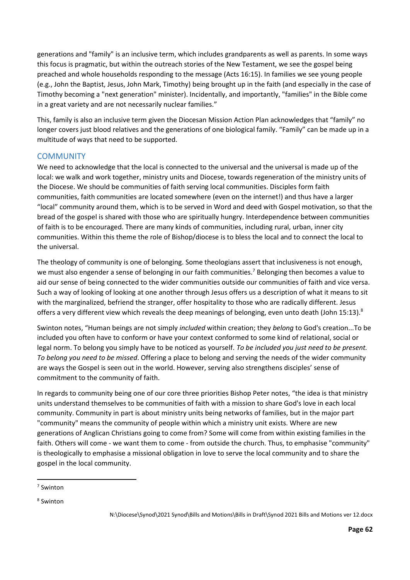generations and "family" is an inclusive term, which includes grandparents as well as parents. In some ways this focus is pragmatic, but within the outreach stories of the New Testament, we see the gospel being preached and whole households responding to the message (Acts 16:15). In families we see young people (e.g., John the Baptist, Jesus, John Mark, Timothy) being brought up in the faith (and especially in the case of Timothy becoming a "next generation" minister). Incidentally, and importantly, "families" in the Bible come in a great variety and are not necessarily nuclear families."

This, family is also an inclusive term given the Diocesan Mission Action Plan acknowledges that "family" no longer covers just blood relatives and the generations of one biological family. "Family" can be made up in a multitude of ways that need to be supported.

#### <span id="page-61-0"></span>**COMMUNITY**

We need to acknowledge that the local is connected to the universal and the universal is made up of the local: we walk and work together, ministry units and Diocese, towards regeneration of the ministry units of the Diocese. We should be communities of faith serving local communities. Disciples form faith communities, faith communities are located somewhere (even on the internet!) and thus have a larger "local" community around them, which is to be served in Word and deed with Gospel motivation, so that the bread of the gospel is shared with those who are spiritually hungry. Interdependence between communities of faith is to be encouraged. There are many kinds of communities, including rural, urban, inner city communities. Within this theme the role of Bishop/diocese is to bless the local and to connect the local to the universal.

The theology of community is one of belonging. Some theologians assert that inclusiveness is not enough, we must also engender a sense of belonging in our faith communities.<sup>7</sup> Belonging then becomes a value to aid our sense of being connected to the wider communities outside our communities of faith and vice versa. Such a way of looking of looking at one another through Jesus offers us a description of what it means to sit with the marginalized, befriend the stranger, offer hospitality to those who are radically different. Jesus offers a very different view which reveals the deep meanings of belonging, even unto death (John 15:13).<sup>8</sup>

Swinton notes, "Human beings are not simply *included* within creation; they *belong* to God's creation...To be included you often have to conform or have your context conformed to some kind of relational, social or legal norm. To belong you simply have to be noticed as yourself. *To be included you just need to be present. To belong you need to be missed*. Offering a place to belong and serving the needs of the wider community are ways the Gospel is seen out in the world. However, serving also strengthens disciples' sense of commitment to the community of faith.

In regards to community being one of our core three priorities Bishop Peter notes, "the idea is that ministry units understand themselves to be communities of faith with a mission to share God's love in each local community. Community in part is about ministry units being networks of families, but in the major part "community" means the community of people within which a ministry unit exists. Where are new generations of Anglican Christians going to come from? Some will come from within existing families in the faith. Others will come - we want them to come - from outside the church. Thus, to emphasise "community" is theologically to emphasise a missional obligation in love to serve the local community and to share the gospel in the local community.

<sup>7</sup> Swinton

<sup>8</sup> Swinton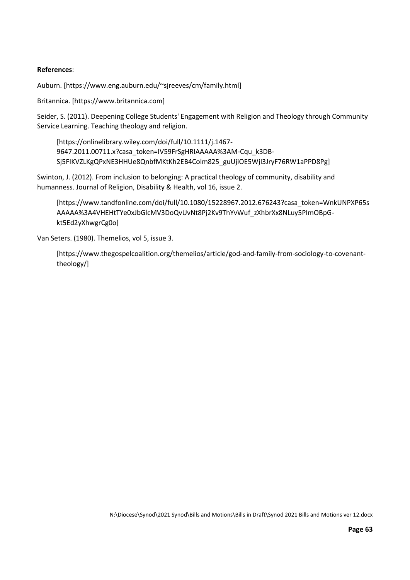#### **References**:

Auburn. [https://www.eng.auburn.edu/~sjreeves/cm/family.html]

Britannica. [https://www.britannica.com]

Seider, S. (2011). Deepening College Students' Engagement with Religion and Theology through Community Service Learning. Teaching theology and religion.

[https://onlinelibrary.wiley.com/doi/full/10.1111/j.1467- 9647.2011.00711.x?casa\_token=IV59FrSgHRIAAAAA%3AM-Cqu\_k3DB-Sj5FIKVZLKgQPxNE3HHUe8QnbfMKtKh2EB4Colm825\_guUjiOE5WjI3JryF76RW1aPPD8Pg]

Swinton, J. (2012). From inclusion to belonging: A practical theology of community, disability and humanness. Journal of Religion, Disability & Health, vol 16, issue 2.

[https://www.tandfonline.com/doi/full/10.1080/15228967.2012.676243?casa\_token=WnkUNPXP65s AAAAA%3A4VHEHtTYe0xJbGlcMV3DoQvUvNt8Pj2Kv9ThYvWuf\_zXhbrXx8NLuy5PImOBpGkt5Ed2yXhwgrCg0o]

Van Seters. (1980). Themelios, vol 5, issue 3.

[https://www.thegospelcoalition.org/themelios/article/god-and-family-from-sociology-to-covenanttheology/]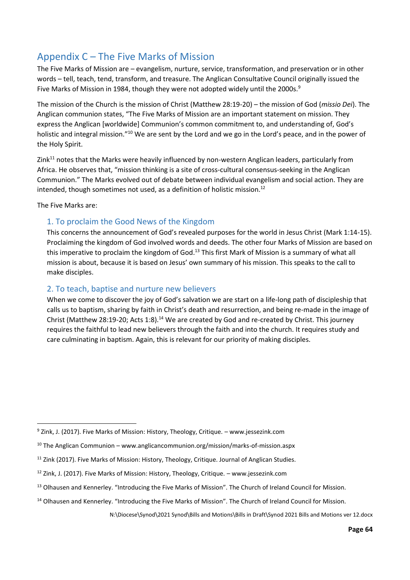# <span id="page-63-0"></span>Appendix C – The Five Marks of Mission

The Five Marks of Mission are – evangelism, nurture, service, transformation, and preservation or in other words – tell, teach, tend, transform, and treasure. The Anglican Consultative Council originally issued the Five Marks of Mission in 1984, though they were not adopted widely until the 2000s.<sup>9</sup>

The mission of the Church is the mission of Christ (Matthew 28:19-20) – the mission of God (*missio Dei*). The Anglican communion states, "The Five Marks of Mission are an important statement on mission. They express the Anglican [worldwide] Communion's common commitment to, and understanding of, God's holistic and integral mission."<sup>10</sup> We are sent by the Lord and we go in the Lord's peace, and in the power of the Holy Spirit.

Zink<sup>11</sup> notes that the Marks were heavily influenced by non-western Anglican leaders, particularly from Africa. He observes that, "mission thinking is a site of cross-cultural consensus-seeking in the Anglican Communion." The Marks evolved out of debate between individual evangelism and social action. They are intended, though sometimes not used, as a definition of holistic mission.<sup>12</sup>

The Five Marks are:

#### <span id="page-63-1"></span>1. To proclaim the Good News of the Kingdom

This concerns the announcement of God's revealed purposes for the world in Jesus Christ (Mark 1:14-15). Proclaiming the kingdom of God involved words and deeds. The other four Marks of Mission are based on this imperative to proclaim the kingdom of God.<sup>13</sup> This first Mark of Mission is a summary of what all mission is about, because it is based on Jesus' own summary of his mission. This speaks to the call to make disciples.

#### <span id="page-63-2"></span>2. To teach, baptise and nurture new believers

When we come to discover the joy of God's salvation we are start on a life-long path of discipleship that calls us to baptism, sharing by faith in Christ's death and resurrection, and being re-made in the image of Christ (Matthew 28:19-20; Acts 1:8).<sup>14</sup> We are created by God and re-created by Christ. This journey requires the faithful to lead new believers through the faith and into the church. It requires study and care culminating in baptism. Again, this is relevant for our priority of making disciples.

 $9$  Zink, J. (2017). Five Marks of Mission: History, Theology, Critique. – www.jessezink.com

 $10$  The Anglican Communion – www.anglicancommunion.org/mission/marks-of-mission.aspx

<sup>&</sup>lt;sup>11</sup> Zink (2017). Five Marks of Mission: History, Theology, Critique. Journal of Anglican Studies.

 $12$  Zink, J. (2017). Five Marks of Mission: History, Theology, Critique. – www.jessezink.com

<sup>&</sup>lt;sup>13</sup> Olhausen and Kennerley. "Introducing the Five Marks of Mission". The Church of Ireland Council for Mission.

<sup>&</sup>lt;sup>14</sup> Olhausen and Kennerley. "Introducing the Five Marks of Mission". The Church of Ireland Council for Mission.

N:\Diocese\Synod\2021 Synod\Bills and Motions\Bills in Draft\Synod 2021 Bills and Motions ver 12.docx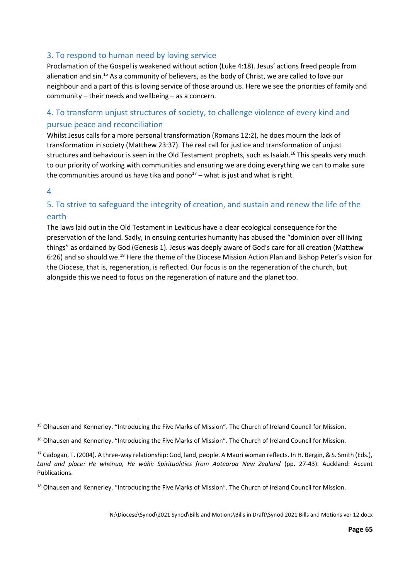#### <span id="page-64-0"></span>3. To respond to human need by loving service

Proclamation of the Gospel is weakened without action (Luke 4:18). Jesus' actions freed people from alienation and sin.<sup>15</sup> As a community of believers, as the body of Christ, we are called to love our neighbour and a part of this is loving service of those around us. Here we see the priorities of family and community – their needs and wellbeing – as a concern.

#### <span id="page-64-1"></span>4. To transform unjust structures of society, to challenge violence of every kind and pursue peace and reconciliation

Whilst Jesus calls for a more personal transformation (Romans 12:2), he does mourn the lack of transformation in society (Matthew 23:37). The real call for justice and transformation of unjust structures and behaviour is seen in the Old Testament prophets, such as Isaiah.<sup>16</sup> This speaks very much to our priority of working with communities and ensuring we are doing everything we can to make sure the communities around us have tika and pono<sup>17</sup> – what is just and what is right.

#### <span id="page-64-2"></span>4

#### 5. To strive to safeguard the integrity of creation, and sustain and renew the life of the earth

The laws laid out in the Old Testament in Leviticus have a clear ecological consequence for the preservation of the land. Sadly, in ensuing centuries humanity has abused the "dominion over all living things" as ordained by God (Genesis 1). Jesus was deeply aware of God's care for all creation (Matthew 6:26) and so should we.<sup>18</sup> Here the theme of the Diocese Mission Action Plan and Bishop Peter's vision for the Diocese, that is, regeneration, is reflected. Our focus is on the regeneration of the church, but alongside this we need to focus on the regeneration of nature and the planet too.

<sup>&</sup>lt;sup>15</sup> Olhausen and Kennerley. "Introducing the Five Marks of Mission". The Church of Ireland Council for Mission.

<sup>&</sup>lt;sup>16</sup> Olhausen and Kennerley. "Introducing the Five Marks of Mission". The Church of Ireland Council for Mission.

<sup>&</sup>lt;sup>17</sup> Cadogan, T. (2004). A three-way relationship: God, land, people. A Maori woman reflects. In H. Bergin, & S. Smith (Eds.), *Land and place: He whenua, He wāhi: Spiritualities from Aotearoa New Zealand* (pp. 27-43). Auckland: Accent Publications.

<sup>&</sup>lt;sup>18</sup> Olhausen and Kennerley. "Introducing the Five Marks of Mission". The Church of Ireland Council for Mission.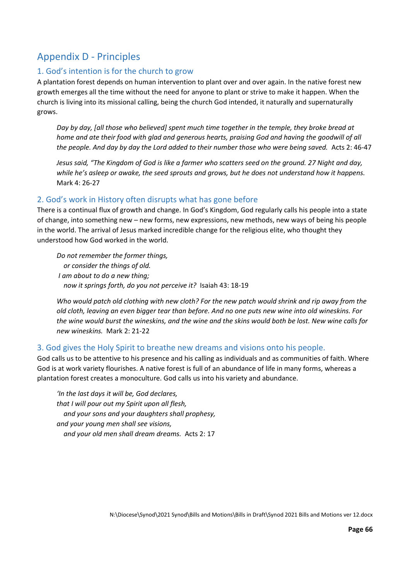# <span id="page-65-0"></span>Appendix D - Principles

#### <span id="page-65-1"></span>1. God's intention is for the church to grow

A plantation forest depends on human intervention to plant over and over again. In the native forest new growth emerges all the time without the need for anyone to plant or strive to make it happen. When the church is living into its missional calling, being the church God intended, it naturally and supernaturally grows.

*Day by day, [all those who believed] spent much time together in the temple, they broke bread at home and ate their food with glad and generous hearts, praising God and having the goodwill of all the people. And day by day the Lord added to their number those who were being saved.* Acts 2: 46-47

*Jesus said, "The Kingdom of God is like a farmer who scatters seed on the ground. 27 Night and day, while he's asleep or awake, the seed sprouts and grows, but he does not understand how it happens.*  Mark 4: 26-27

#### <span id="page-65-2"></span>2. God's work in History often disrupts what has gone before

There is a continual flux of growth and change. In God's Kingdom, God regularly calls his people into a state of change, into something new – new forms, new expressions, new methods, new ways of being his people in the world. The arrival of Jesus marked incredible change for the religious elite, who thought they understood how God worked in the world.

*Do not remember the former things, or consider the things of old. I am about to do a new thing; now it springs forth, do you not perceive it?* Isaiah 43: 18-19

*Who would patch old clothing with new cloth? For the new patch would shrink and rip away from the old cloth, leaving an even bigger tear than before. And no one puts new wine into old wineskins. For the wine would burst the wineskins, and the wine and the skins would both be lost. New wine calls for new wineskins.* Mark 2: 21-22

#### <span id="page-65-3"></span>3. God gives the Holy Spirit to breathe new dreams and visions onto his people.

God calls us to be attentive to his presence and his calling as individuals and as communities of faith. Where God is at work variety flourishes. A native forest is full of an abundance of life in many forms, whereas a plantation forest creates a monoculture. God calls us into his variety and abundance.

*'In the last days it will be, God declares, that I will pour out my Spirit upon all flesh, and your sons and your daughters shall prophesy, and your young men shall see visions, and your old men shall dream dreams.* Acts 2: 17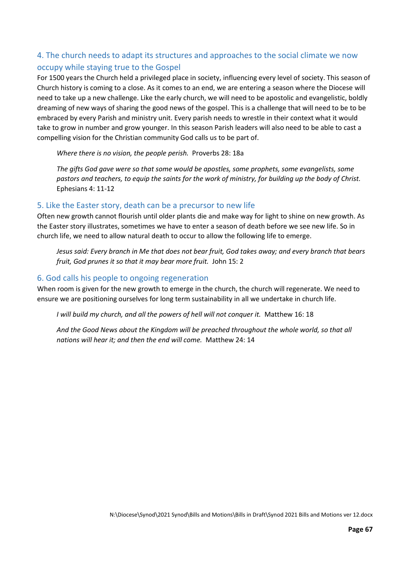#### <span id="page-66-0"></span>4. The church needs to adapt its structures and approaches to the social climate we now occupy while staying true to the Gospel

For 1500 years the Church held a privileged place in society, influencing every level of society. This season of Church history is coming to a close. As it comes to an end, we are entering a season where the Diocese will need to take up a new challenge. Like the early church, we will need to be apostolic and evangelistic, boldly dreaming of new ways of sharing the good news of the gospel. This is a challenge that will need to be to be embraced by every Parish and ministry unit. Every parish needs to wrestle in their context what it would take to grow in number and grow younger. In this season Parish leaders will also need to be able to cast a compelling vision for the Christian community God calls us to be part of.

*Where there is no vision, the people perish.* Proverbs 28: 18a

*The gifts God gave were so that some would be apostles, some prophets, some evangelists, some pastors and teachers, to equip the saints for the work of ministry, for building up the body of Christ.* Ephesians 4: 11-12

#### <span id="page-66-1"></span>5. Like the Easter story, death can be a precursor to new life

Often new growth cannot flourish until older plants die and make way for light to shine on new growth. As the Easter story illustrates, sometimes we have to enter a season of death before we see new life. So in church life, we need to allow natural death to occur to allow the following life to emerge.

*Jesus said: Every branch in Me that does not bear fruit, God takes away; and every branch that bears fruit, God prunes it so that it may bear more fruit.* John 15: 2

#### <span id="page-66-2"></span>6. God calls his people to ongoing regeneration

When room is given for the new growth to emerge in the church, the church will regenerate. We need to ensure we are positioning ourselves for long term sustainability in all we undertake in church life.

*I will build my church, and all the powers of hell will not conquer it. Matthew 16: 18* 

*And the Good News about the Kingdom will be preached throughout the whole world, so that all nations will hear it; and then the end will come.* Matthew 24: 14